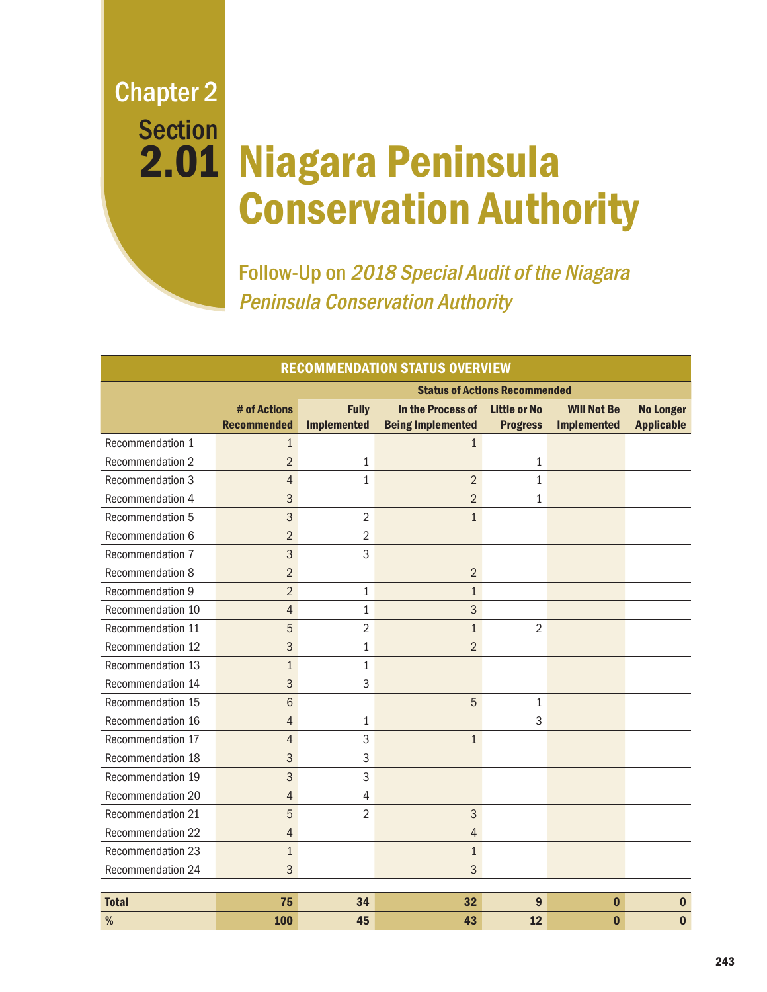Chapter 2 **Section** 2.01

# Niagara Peninsula Conservation Authority

Follow-Up on 2018 Special Audit of the Niagara Peninsula Conservation Authority

| <b>RECOMMENDATION STATUS OVERVIEW</b> |                                    |                                      |                                               |                                        |                                          |                                       |
|---------------------------------------|------------------------------------|--------------------------------------|-----------------------------------------------|----------------------------------------|------------------------------------------|---------------------------------------|
|                                       |                                    | <b>Status of Actions Recommended</b> |                                               |                                        |                                          |                                       |
|                                       | # of Actions<br><b>Recommended</b> | <b>Fully</b><br><b>Implemented</b>   | In the Process of<br><b>Being Implemented</b> | <b>Little or No</b><br><b>Progress</b> | <b>Will Not Be</b><br><b>Implemented</b> | <b>No Longer</b><br><b>Applicable</b> |
| Recommendation 1                      | $\mathbf{1}$                       |                                      | $\mathbf{1}$                                  |                                        |                                          |                                       |
| Recommendation 2                      | $\overline{2}$                     | $\mathbf{1}$                         |                                               | $\mathbf{1}$                           |                                          |                                       |
| Recommendation 3                      | $\overline{4}$                     | $\mathbf{1}$                         | $\overline{2}$                                | $\mathbf{1}$                           |                                          |                                       |
| Recommendation 4                      | 3                                  |                                      | $\overline{2}$                                | 1                                      |                                          |                                       |
| Recommendation 5                      | 3                                  | $\overline{2}$                       | $\mathbf{1}$                                  |                                        |                                          |                                       |
| Recommendation 6                      | $\overline{2}$                     | $\overline{2}$                       |                                               |                                        |                                          |                                       |
| Recommendation 7                      | 3                                  | 3                                    |                                               |                                        |                                          |                                       |
| Recommendation 8                      | $\overline{2}$                     |                                      | $\overline{2}$                                |                                        |                                          |                                       |
| Recommendation 9                      | $\overline{2}$                     | $\mathbf{1}$                         | $\mathbf{1}$                                  |                                        |                                          |                                       |
| Recommendation 10                     | $\overline{4}$                     | $\mathbf{1}$                         | 3                                             |                                        |                                          |                                       |
| Recommendation 11                     | 5                                  | $\overline{2}$                       | $\mathbf{1}$                                  | $\overline{2}$                         |                                          |                                       |
| Recommendation 12                     | 3                                  | $\mathbf{1}$                         | $\overline{2}$                                |                                        |                                          |                                       |
| Recommendation 13                     | $\mathbf{1}$                       | 1                                    |                                               |                                        |                                          |                                       |
| Recommendation 14                     | 3                                  | 3                                    |                                               |                                        |                                          |                                       |
| Recommendation 15                     | 6                                  |                                      | 5                                             | 1                                      |                                          |                                       |
| Recommendation 16                     | 4                                  | 1                                    |                                               | 3                                      |                                          |                                       |
| Recommendation 17                     | $\overline{4}$                     | 3                                    | $\mathbf{1}$                                  |                                        |                                          |                                       |
| Recommendation 18                     | 3                                  | 3                                    |                                               |                                        |                                          |                                       |
| Recommendation 19                     | 3                                  | 3                                    |                                               |                                        |                                          |                                       |
| Recommendation 20                     | $\overline{4}$                     | 4                                    |                                               |                                        |                                          |                                       |
| Recommendation 21                     | 5                                  | 2                                    | 3                                             |                                        |                                          |                                       |
| Recommendation 22                     | $\overline{4}$                     |                                      | $\overline{4}$                                |                                        |                                          |                                       |
| Recommendation 23                     | $\mathbf{1}$                       |                                      | $\mathbf{1}$                                  |                                        |                                          |                                       |
| Recommendation 24                     | 3                                  |                                      | 3                                             |                                        |                                          |                                       |
| <b>Total</b>                          | 75                                 | 34                                   | 32                                            | 9                                      | $\bf{0}$                                 | $\bf{0}$                              |
| %                                     | 100                                | 45                                   | 43                                            | 12                                     | $\bf{0}$                                 | $\bf{0}$                              |
|                                       |                                    |                                      |                                               |                                        |                                          |                                       |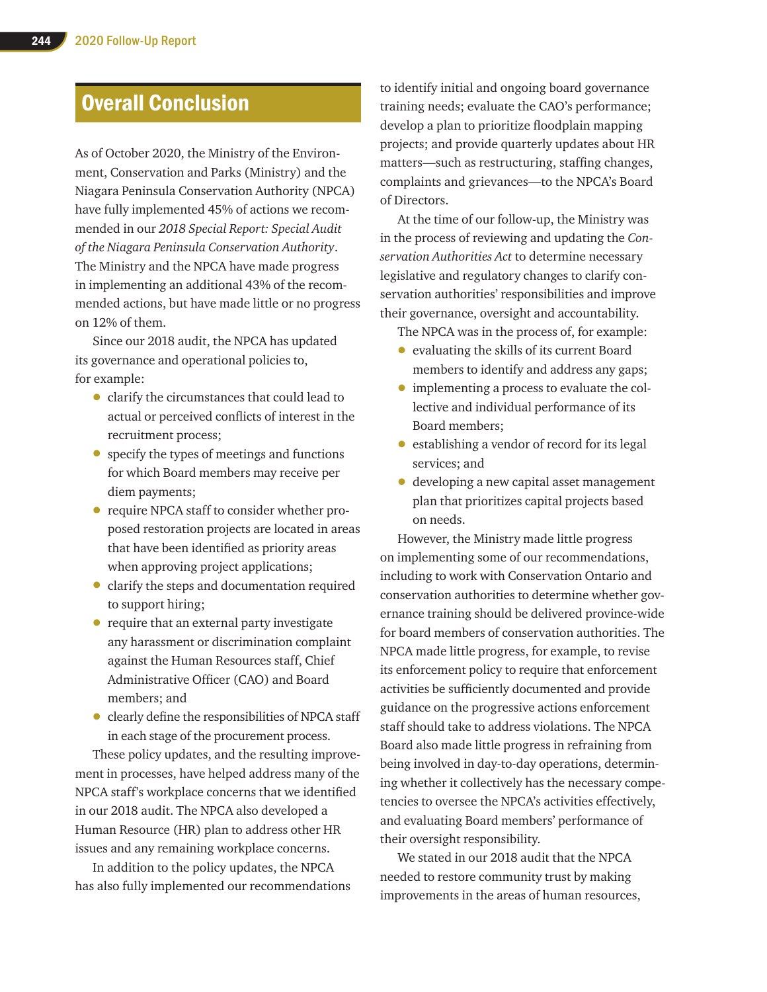## Overall Conclusion

As of October 2020, the Ministry of the Environment, Conservation and Parks (Ministry) and the Niagara Peninsula Conservation Authority (NPCA) have fully implemented 45% of actions we recommended in our *2018 Special Report: Special Audit of the Niagara Peninsula Conservation Authority*. The Ministry and the NPCA have made progress in implementing an additional 43% of the recommended actions, but have made little or no progress on 12% of them.

Since our 2018 audit, the NPCA has updated its governance and operational policies to, for example:

- clarify the circumstances that could lead to actual or perceived conflicts of interest in the recruitment process;
- specify the types of meetings and functions for which Board members may receive per diem payments;
- require NPCA staff to consider whether proposed restoration projects are located in areas that have been identified as priority areas when approving project applications;
- clarify the steps and documentation required to support hiring;
- require that an external party investigate any harassment or discrimination complaint against the Human Resources staff, Chief Administrative Officer (CAO) and Board members; and
- clearly define the responsibilities of NPCA staff in each stage of the procurement process.

These policy updates, and the resulting improvement in processes, have helped address many of the NPCA staff's workplace concerns that we identified in our 2018 audit. The NPCA also developed a Human Resource (HR) plan to address other HR issues and any remaining workplace concerns.

In addition to the policy updates, the NPCA has also fully implemented our recommendations to identify initial and ongoing board governance training needs; evaluate the CAO's performance; develop a plan to prioritize floodplain mapping projects; and provide quarterly updates about HR matters—such as restructuring, staffing changes, complaints and grievances—to the NPCA's Board of Directors.

At the time of our follow-up, the Ministry was in the process of reviewing and updating the *Conservation Authorities Act* to determine necessary legislative and regulatory changes to clarify conservation authorities' responsibilities and improve their governance, oversight and accountability.

The NPCA was in the process of, for example:

- evaluating the skills of its current Board members to identify and address any gaps;
- implementing a process to evaluate the collective and individual performance of its Board members;
- establishing a vendor of record for its legal services; and
- developing a new capital asset management plan that prioritizes capital projects based on needs.

However, the Ministry made little progress on implementing some of our recommendations, including to work with Conservation Ontario and conservation authorities to determine whether governance training should be delivered province-wide for board members of conservation authorities. The NPCA made little progress, for example, to revise its enforcement policy to require that enforcement activities be sufficiently documented and provide guidance on the progressive actions enforcement staff should take to address violations. The NPCA Board also made little progress in refraining from being involved in day-to-day operations, determining whether it collectively has the necessary competencies to oversee the NPCA's activities effectively, and evaluating Board members' performance of their oversight responsibility.

We stated in our 2018 audit that the NPCA needed to restore community trust by making improvements in the areas of human resources,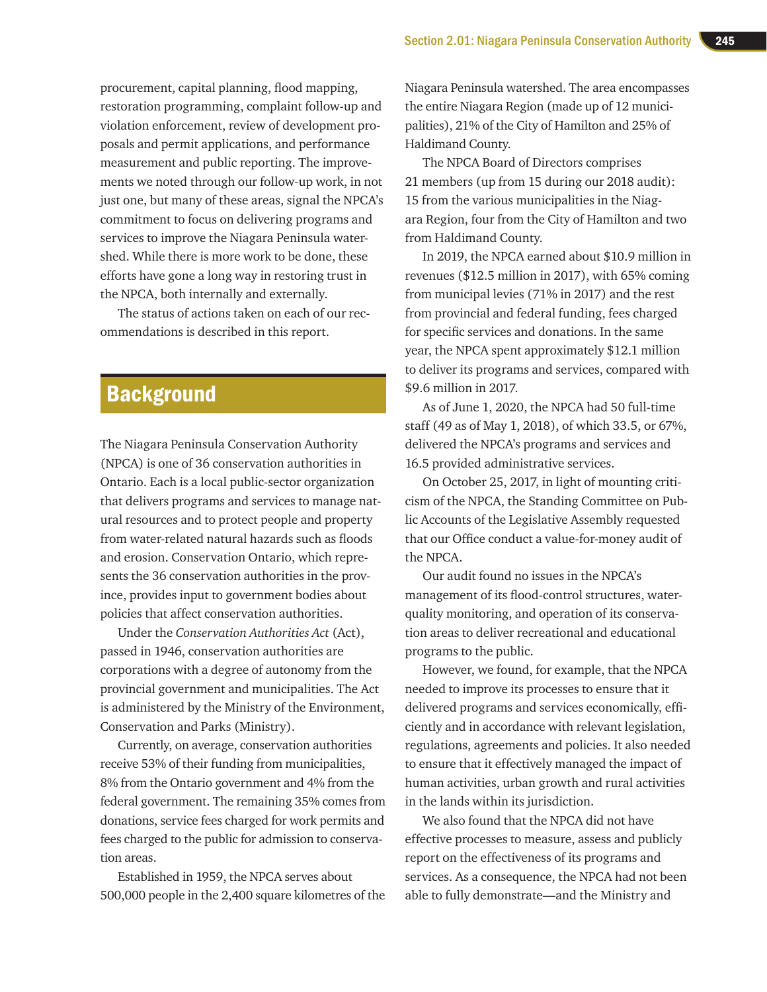procurement, capital planning, flood mapping, restoration programming, complaint follow-up and violation enforcement, review of development proposals and permit applications, and performance measurement and public reporting. The improvements we noted through our follow-up work, in not just one, but many of these areas, signal the NPCA's commitment to focus on delivering programs and services to improve the Niagara Peninsula watershed. While there is more work to be done, these efforts have gone a long way in restoring trust in the NPCA, both internally and externally.

The status of actions taken on each of our recommendations is described in this report.

### **Background**

The Niagara Peninsula Conservation Authority (NPCA) is one of 36 conservation authorities in Ontario. Each is a local public-sector organization that delivers programs and services to manage natural resources and to protect people and property from water-related natural hazards such as floods and erosion. Conservation Ontario, which represents the 36 conservation authorities in the province, provides input to government bodies about policies that affect conservation authorities.

Under the *Conservation Authorities Act* (Act), passed in 1946, conservation authorities are corporations with a degree of autonomy from the provincial government and municipalities. The Act is administered by the Ministry of the Environment, Conservation and Parks (Ministry).

Currently, on average, conservation authorities receive 53% of their funding from municipalities, 8% from the Ontario government and 4% from the federal government. The remaining 35% comes from donations, service fees charged for work permits and fees charged to the public for admission to conservation areas.

Established in 1959, the NPCA serves about 500,000 people in the 2,400 square kilometres of the Niagara Peninsula watershed. The area encompasses the entire Niagara Region (made up of 12 municipalities), 21% of the City of Hamilton and 25% of Haldimand County.

The NPCA Board of Directors comprises 21 members (up from 15 during our 2018 audit): 15 from the various municipalities in the Niagara Region, four from the City of Hamilton and two from Haldimand County.

In 2019, the NPCA earned about \$10.9 million in revenues (\$12.5 million in 2017), with 65% coming from municipal levies (71% in 2017) and the rest from provincial and federal funding, fees charged for specific services and donations. In the same year, the NPCA spent approximately \$12.1 million to deliver its programs and services, compared with \$9.6 million in 2017.

As of June 1, 2020, the NPCA had 50 full-time staff (49 as of May 1, 2018), of which 33.5, or 67%, delivered the NPCA's programs and services and 16.5 provided administrative services.

On October 25, 2017, in light of mounting criticism of the NPCA, the Standing Committee on Public Accounts of the Legislative Assembly requested that our Office conduct a value-for-money audit of the NPCA.

Our audit found no issues in the NPCA's management of its flood-control structures, waterquality monitoring, and operation of its conservation areas to deliver recreational and educational programs to the public.

However, we found, for example, that the NPCA needed to improve its processes to ensure that it delivered programs and services economically, efficiently and in accordance with relevant legislation, regulations, agreements and policies. It also needed to ensure that it effectively managed the impact of human activities, urban growth and rural activities in the lands within its jurisdiction.

We also found that the NPCA did not have effective processes to measure, assess and publicly report on the effectiveness of its programs and services. As a consequence, the NPCA had not been able to fully demonstrate—and the Ministry and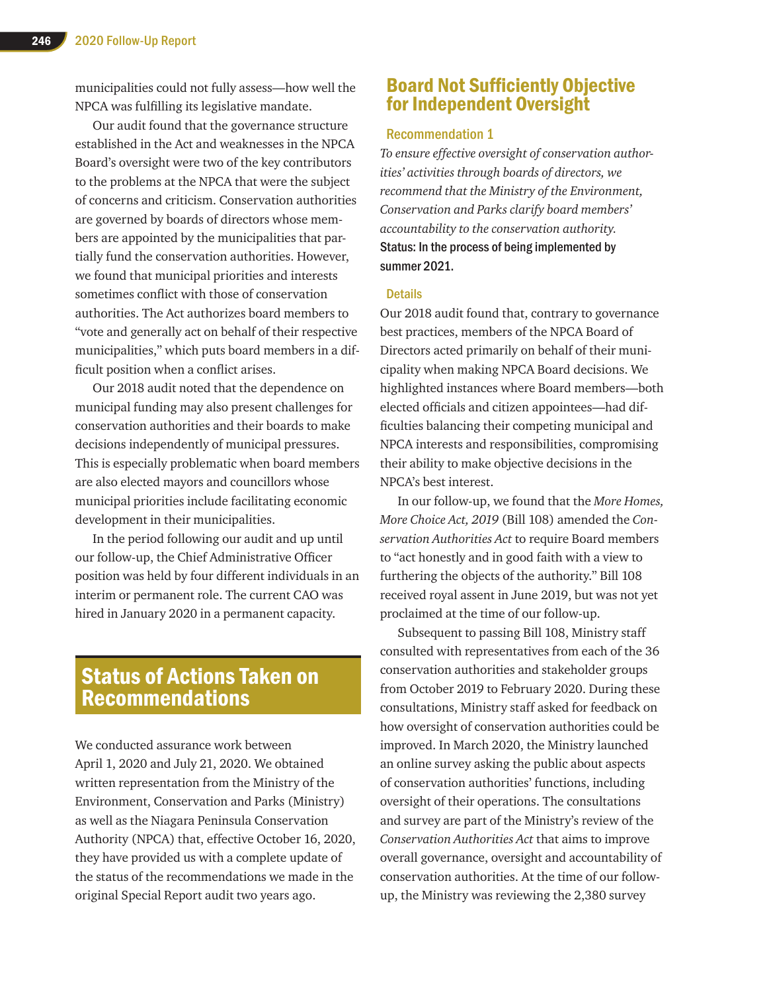municipalities could not fully assess—how well the NPCA was fulfilling its legislative mandate.

Our audit found that the governance structure established in the Act and weaknesses in the NPCA Board's oversight were two of the key contributors to the problems at the NPCA that were the subject of concerns and criticism. Conservation authorities are governed by boards of directors whose members are appointed by the municipalities that partially fund the conservation authorities. However, we found that municipal priorities and interests sometimes conflict with those of conservation authorities. The Act authorizes board members to "vote and generally act on behalf of their respective municipalities," which puts board members in a difficult position when a conflict arises.

Our 2018 audit noted that the dependence on municipal funding may also present challenges for conservation authorities and their boards to make decisions independently of municipal pressures. This is especially problematic when board members are also elected mayors and councillors whose municipal priorities include facilitating economic development in their municipalities.

In the period following our audit and up until our follow-up, the Chief Administrative Officer position was held by four different individuals in an interim or permanent role. The current CAO was hired in January 2020 in a permanent capacity.

### Status of Actions Taken on Recommendations

We conducted assurance work between April 1, 2020 and July 21, 2020. We obtained written representation from the Ministry of the Environment, Conservation and Parks (Ministry) as well as the Niagara Peninsula Conservation Authority (NPCA) that, effective October 16, 2020, they have provided us with a complete update of the status of the recommendations we made in the original Special Report audit two years ago.

### Board Not Sufficiently Objective for Independent Oversight

### Recommendation 1

*To ensure effective oversight of conservation authorities' activities through boards of directors, we recommend that the Ministry of the Environment, Conservation and Parks clarify board members' accountability to the conservation authority.* Status: In the process of being implemented by summer 2021.

#### **Details**

Our 2018 audit found that, contrary to governance best practices, members of the NPCA Board of Directors acted primarily on behalf of their municipality when making NPCA Board decisions. We highlighted instances where Board members—both elected officials and citizen appointees—had difficulties balancing their competing municipal and NPCA interests and responsibilities, compromising their ability to make objective decisions in the NPCA's best interest.

In our follow-up, we found that the *More Homes, More Choice Act, 2019* (Bill 108) amended the *Conservation Authorities Act* to require Board members to "act honestly and in good faith with a view to furthering the objects of the authority." Bill 108 received royal assent in June 2019, but was not yet proclaimed at the time of our follow-up.

Subsequent to passing Bill 108, Ministry staff consulted with representatives from each of the 36 conservation authorities and stakeholder groups from October 2019 to February 2020. During these consultations, Ministry staff asked for feedback on how oversight of conservation authorities could be improved. In March 2020, the Ministry launched an online survey asking the public about aspects of conservation authorities' functions, including oversight of their operations. The consultations and survey are part of the Ministry's review of the *Conservation Authorities Act* that aims to improve overall governance, oversight and accountability of conservation authorities. At the time of our followup, the Ministry was reviewing the 2,380 survey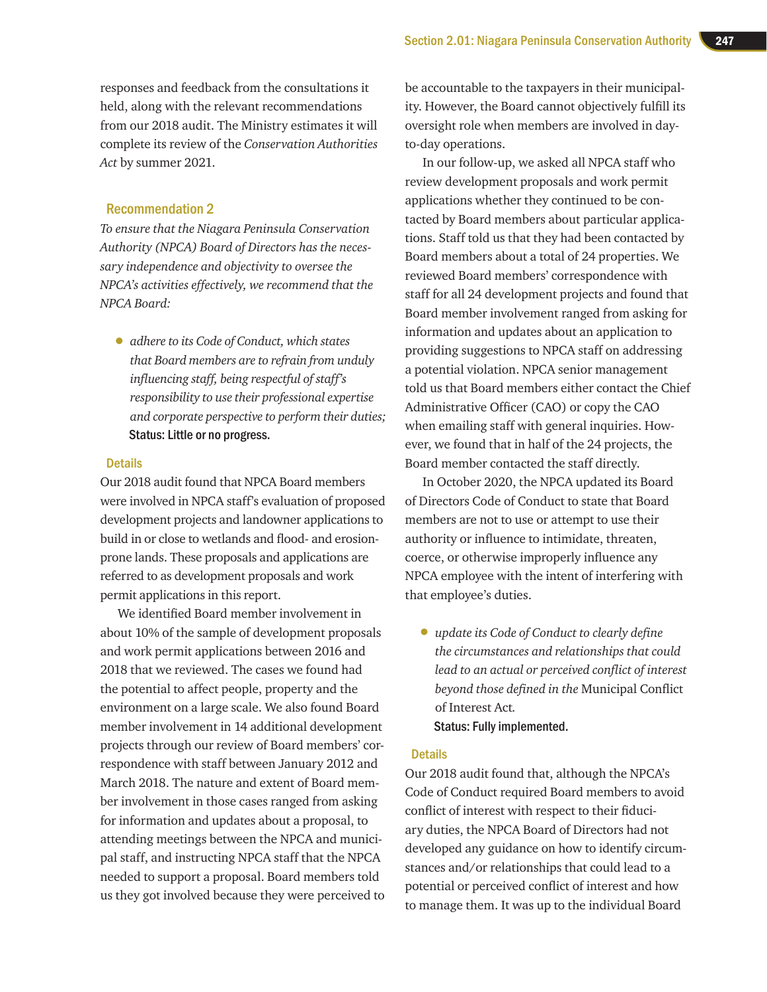responses and feedback from the consultations it held, along with the relevant recommendations from our 2018 audit. The Ministry estimates it will complete its review of the *Conservation Authorities Act* by summer 2021.

### Recommendation 2

*To ensure that the Niagara Peninsula Conservation Authority (NPCA) Board of Directors has the necessary independence and objectivity to oversee the NPCA's activities effectively, we recommend that the NPCA Board:*

• *adhere to its Code of Conduct, which states that Board members are to refrain from unduly influencing staff, being respectful of staff's responsibility to use their professional expertise and corporate perspective to perform their duties;* Status: Little or no progress.

### **Details**

Our 2018 audit found that NPCA Board members were involved in NPCA staff's evaluation of proposed development projects and landowner applications to build in or close to wetlands and flood- and erosionprone lands. These proposals and applications are referred to as development proposals and work permit applications in this report.

We identified Board member involvement in about 10% of the sample of development proposals and work permit applications between 2016 and 2018 that we reviewed. The cases we found had the potential to affect people, property and the environment on a large scale. We also found Board member involvement in 14 additional development projects through our review of Board members' correspondence with staff between January 2012 and March 2018. The nature and extent of Board member involvement in those cases ranged from asking for information and updates about a proposal, to attending meetings between the NPCA and municipal staff, and instructing NPCA staff that the NPCA needed to support a proposal. Board members told us they got involved because they were perceived to be accountable to the taxpayers in their municipality. However, the Board cannot objectively fulfill its oversight role when members are involved in dayto-day operations.

In our follow-up, we asked all NPCA staff who review development proposals and work permit applications whether they continued to be contacted by Board members about particular applications. Staff told us that they had been contacted by Board members about a total of 24 properties. We reviewed Board members' correspondence with staff for all 24 development projects and found that Board member involvement ranged from asking for information and updates about an application to providing suggestions to NPCA staff on addressing a potential violation. NPCA senior management told us that Board members either contact the Chief Administrative Officer (CAO) or copy the CAO when emailing staff with general inquiries. However, we found that in half of the 24 projects, the Board member contacted the staff directly.

In October 2020, the NPCA updated its Board of Directors Code of Conduct to state that Board members are not to use or attempt to use their authority or influence to intimidate, threaten, coerce, or otherwise improperly influence any NPCA employee with the intent of interfering with that employee's duties.

• *update its Code of Conduct to clearly define the circumstances and relationships that could lead to an actual or perceived conflict of interest beyond those defined in the* Municipal Conflict of Interest Act*.* Status: Fully implemented.

### **Details**

Our 2018 audit found that, although the NPCA's Code of Conduct required Board members to avoid conflict of interest with respect to their fiduciary duties, the NPCA Board of Directors had not developed any guidance on how to identify circumstances and/or relationships that could lead to a potential or perceived conflict of interest and how to manage them. It was up to the individual Board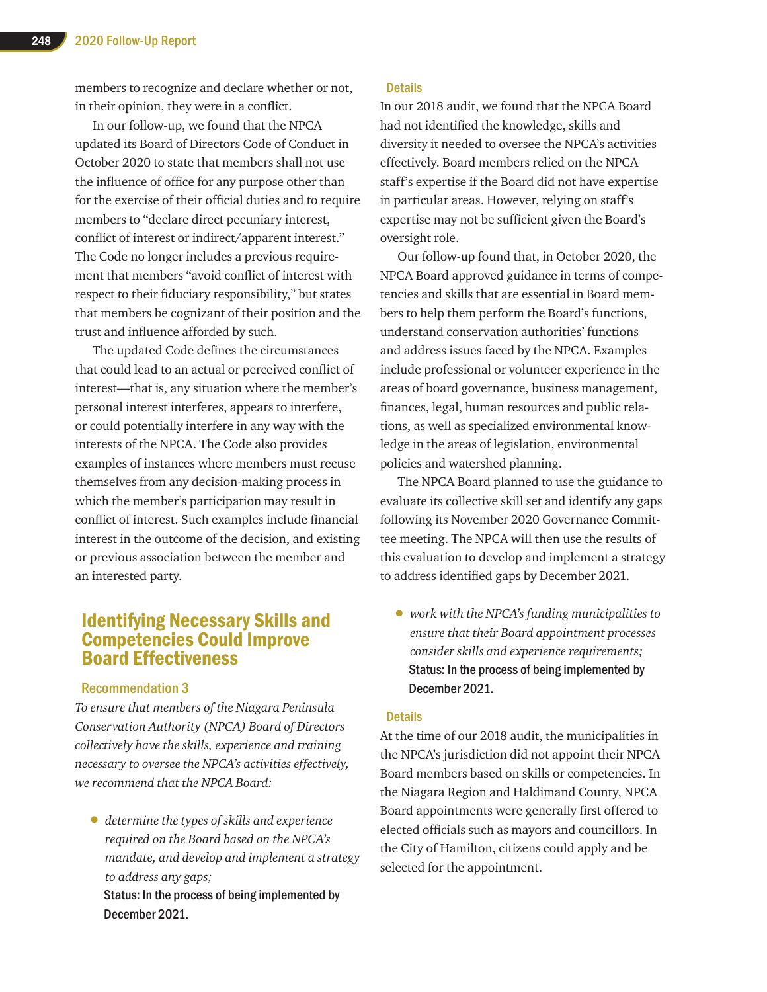members to recognize and declare whether or not, in their opinion, they were in a conflict.

In our follow-up, we found that the NPCA updated its Board of Directors Code of Conduct in October 2020 to state that members shall not use the influence of office for any purpose other than for the exercise of their official duties and to require members to "declare direct pecuniary interest, conflict of interest or indirect/apparent interest." The Code no longer includes a previous requirement that members "avoid conflict of interest with respect to their fiduciary responsibility," but states that members be cognizant of their position and the trust and influence afforded by such.

The updated Code defines the circumstances that could lead to an actual or perceived conflict of interest—that is, any situation where the member's personal interest interferes, appears to interfere, or could potentially interfere in any way with the interests of the NPCA. The Code also provides examples of instances where members must recuse themselves from any decision-making process in which the member's participation may result in conflict of interest. Such examples include financial interest in the outcome of the decision, and existing or previous association between the member and an interested party.

### Identifying Necessary Skills and Competencies Could Improve Board Effectiveness

### Recommendation 3

*To ensure that members of the Niagara Peninsula Conservation Authority (NPCA) Board of Directors collectively have the skills, experience and training necessary to oversee the NPCA's activities effectively, we recommend that the NPCA Board:*

• *determine the types of skills and experience required on the Board based on the NPCA's mandate, and develop and implement a strategy to address any gaps;* Status: In the process of being implemented by December 2021.

### **Details**

In our 2018 audit, we found that the NPCA Board had not identified the knowledge, skills and diversity it needed to oversee the NPCA's activities effectively. Board members relied on the NPCA staff's expertise if the Board did not have expertise in particular areas. However, relying on staff's expertise may not be sufficient given the Board's oversight role.

Our follow-up found that, in October 2020, the NPCA Board approved guidance in terms of competencies and skills that are essential in Board members to help them perform the Board's functions, understand conservation authorities' functions and address issues faced by the NPCA. Examples include professional or volunteer experience in the areas of board governance, business management, finances, legal, human resources and public relations, as well as specialized environmental knowledge in the areas of legislation, environmental policies and watershed planning.

The NPCA Board planned to use the guidance to evaluate its collective skill set and identify any gaps following its November 2020 Governance Committee meeting. The NPCA will then use the results of this evaluation to develop and implement a strategy to address identified gaps by December 2021.

• *work with the NPCA's funding municipalities to ensure that their Board appointment processes consider skills and experience requirements;* Status: In the process of being implemented by December 2021.

#### **Details**

At the time of our 2018 audit, the municipalities in the NPCA's jurisdiction did not appoint their NPCA Board members based on skills or competencies. In the Niagara Region and Haldimand County, NPCA Board appointments were generally first offered to elected officials such as mayors and councillors. In the City of Hamilton, citizens could apply and be selected for the appointment.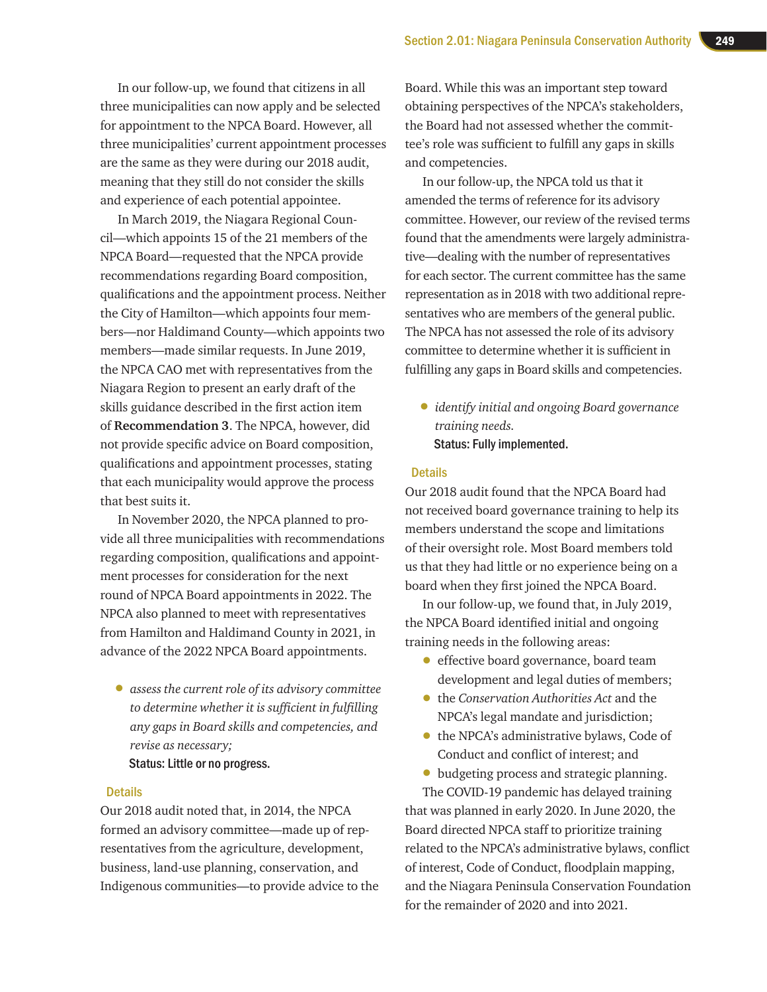In our follow-up, we found that citizens in all three municipalities can now apply and be selected for appointment to the NPCA Board. However, all three municipalities' current appointment processes are the same as they were during our 2018 audit, meaning that they still do not consider the skills and experience of each potential appointee.

In March 2019, the Niagara Regional Council—which appoints 15 of the 21 members of the NPCA Board—requested that the NPCA provide recommendations regarding Board composition, qualifications and the appointment process. Neither the City of Hamilton—which appoints four members—nor Haldimand County—which appoints two members—made similar requests. In June 2019, the NPCA CAO met with representatives from the Niagara Region to present an early draft of the skills guidance described in the first action item of **Recommendation 3**. The NPCA, however, did not provide specific advice on Board composition, qualifications and appointment processes, stating that each municipality would approve the process that best suits it.

In November 2020, the NPCA planned to provide all three municipalities with recommendations regarding composition, qualifications and appointment processes for consideration for the next round of NPCA Board appointments in 2022. The NPCA also planned to meet with representatives from Hamilton and Haldimand County in 2021, in advance of the 2022 NPCA Board appointments.

• *assess the current role of its advisory committee to determine whether it is sufficient in fulfilling any gaps in Board skills and competencies, and revise as necessary;*

### Status: Little or no progress.

### **Details**

Our 2018 audit noted that, in 2014, the NPCA formed an advisory committee—made up of representatives from the agriculture, development, business, land-use planning, conservation, and Indigenous communities—to provide advice to the

Board. While this was an important step toward obtaining perspectives of the NPCA's stakeholders, the Board had not assessed whether the committee's role was sufficient to fulfill any gaps in skills and competencies.

In our follow-up, the NPCA told us that it amended the terms of reference for its advisory committee. However, our review of the revised terms found that the amendments were largely administrative—dealing with the number of representatives for each sector. The current committee has the same representation as in 2018 with two additional representatives who are members of the general public. The NPCA has not assessed the role of its advisory committee to determine whether it is sufficient in fulfilling any gaps in Board skills and competencies.

• *identify initial and ongoing Board governance training needs.* Status: Fully implemented.

#### **Details**

Our 2018 audit found that the NPCA Board had not received board governance training to help its members understand the scope and limitations of their oversight role. Most Board members told us that they had little or no experience being on a board when they first joined the NPCA Board.

In our follow-up, we found that, in July 2019, the NPCA Board identified initial and ongoing training needs in the following areas:

- effective board governance, board team development and legal duties of members;
- the *Conservation Authorities Act* and the NPCA's legal mandate and jurisdiction;
- the NPCA's administrative bylaws, Code of Conduct and conflict of interest; and
- budgeting process and strategic planning.

The COVID-19 pandemic has delayed training that was planned in early 2020. In June 2020, the Board directed NPCA staff to prioritize training related to the NPCA's administrative bylaws, conflict of interest, Code of Conduct, floodplain mapping, and the Niagara Peninsula Conservation Foundation for the remainder of 2020 and into 2021.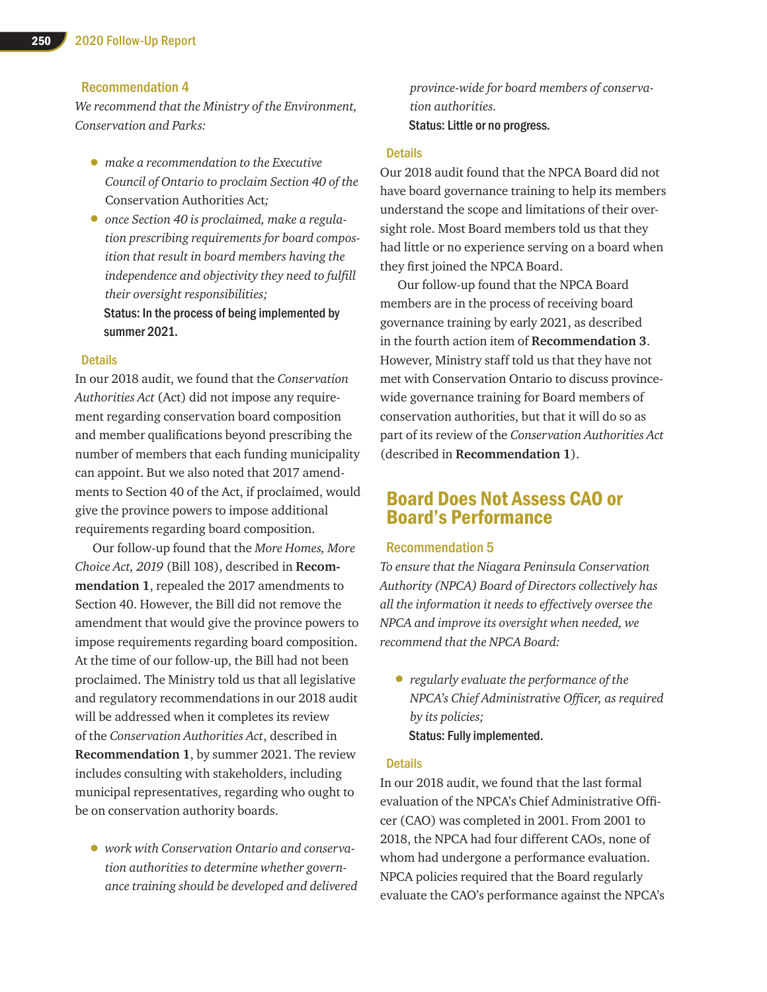### Recommendation 4

*We recommend that the Ministry of the Environment, Conservation and Parks:*

- *make a recommendation to the Executive Council of Ontario to proclaim Section 40 of the*  Conservation Authorities Act*;*
- *once Section 40 is proclaimed, make a regulation prescribing requirements for board composition that result in board members having the independence and objectivity they need to fulfill their oversight responsibilities;* Status: In the process of being implemented by

summer 2021.

### **Details**

In our 2018 audit, we found that the *Conservation Authorities Act* (Act) did not impose any requirement regarding conservation board composition and member qualifications beyond prescribing the number of members that each funding municipality can appoint. But we also noted that 2017 amendments to Section 40 of the Act, if proclaimed, would give the province powers to impose additional requirements regarding board composition.

Our follow-up found that the *More Homes, More Choice Act, 2019* (Bill 108), described in **Recommendation 1**, repealed the 2017 amendments to Section 40. However, the Bill did not remove the amendment that would give the province powers to impose requirements regarding board composition. At the time of our follow-up, the Bill had not been proclaimed. The Ministry told us that all legislative and regulatory recommendations in our 2018 audit will be addressed when it completes its review of the *Conservation Authorities Act*, described in **Recommendation 1**, by summer 2021. The review includes consulting with stakeholders, including municipal representatives, regarding who ought to be on conservation authority boards.

• *work with Conservation Ontario and conservation authorities to determine whether governance training should be developed and delivered*  *province-wide for board members of conservation authorities.* Status: Little or no progress.

#### **Details**

Our 2018 audit found that the NPCA Board did not have board governance training to help its members understand the scope and limitations of their oversight role. Most Board members told us that they had little or no experience serving on a board when they first joined the NPCA Board.

Our follow-up found that the NPCA Board members are in the process of receiving board governance training by early 2021, as described in the fourth action item of **Recommendation 3**. However, Ministry staff told us that they have not met with Conservation Ontario to discuss provincewide governance training for Board members of conservation authorities, but that it will do so as part of its review of the *Conservation Authorities Act* (described in **Recommendation 1**).

### Board Does Not Assess CAO or Board's Performance

### Recommendation 5

*To ensure that the Niagara Peninsula Conservation Authority (NPCA) Board of Directors collectively has all the information it needs to effectively oversee the NPCA and improve its oversight when needed, we recommend that the NPCA Board:*

• *regularly evaluate the performance of the NPCA's Chief Administrative Officer, as required by its policies;* Status: Fully implemented.

#### **Details**

In our 2018 audit, we found that the last formal evaluation of the NPCA's Chief Administrative Officer (CAO) was completed in 2001. From 2001 to 2018, the NPCA had four different CAOs, none of whom had undergone a performance evaluation. NPCA policies required that the Board regularly evaluate the CAO's performance against the NPCA's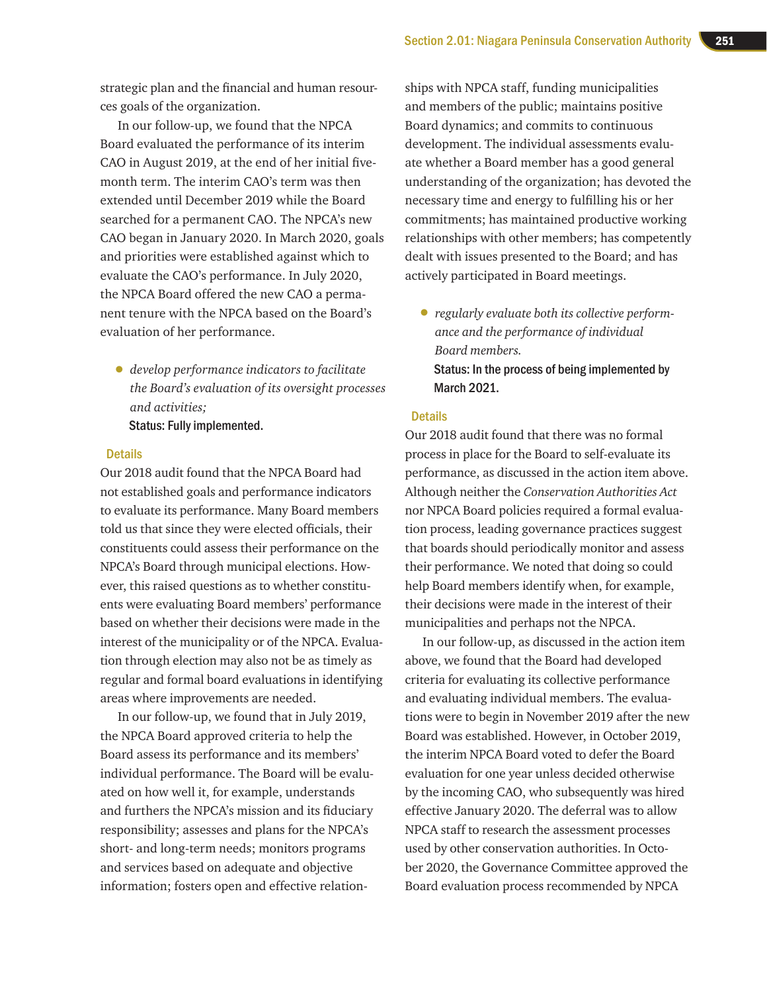strategic plan and the financial and human resources goals of the organization.

In our follow-up, we found that the NPCA Board evaluated the performance of its interim CAO in August 2019, at the end of her initial fivemonth term. The interim CAO's term was then extended until December 2019 while the Board searched for a permanent CAO. The NPCA's new CAO began in January 2020. In March 2020, goals and priorities were established against which to evaluate the CAO's performance. In July 2020, the NPCA Board offered the new CAO a permanent tenure with the NPCA based on the Board's evaluation of her performance.

• *develop performance indicators to facilitate the Board's evaluation of its oversight processes and activities;* Status: Fully implemented.

### **Details**

Our 2018 audit found that the NPCA Board had not established goals and performance indicators to evaluate its performance. Many Board members told us that since they were elected officials, their constituents could assess their performance on the NPCA's Board through municipal elections. However, this raised questions as to whether constituents were evaluating Board members' performance based on whether their decisions were made in the interest of the municipality or of the NPCA. Evaluation through election may also not be as timely as regular and formal board evaluations in identifying areas where improvements are needed.

In our follow-up, we found that in July 2019, the NPCA Board approved criteria to help the Board assess its performance and its members' individual performance. The Board will be evaluated on how well it, for example, understands and furthers the NPCA's mission and its fiduciary responsibility; assesses and plans for the NPCA's short- and long-term needs; monitors programs and services based on adequate and objective information; fosters open and effective relationships with NPCA staff, funding municipalities and members of the public; maintains positive Board dynamics; and commits to continuous development. The individual assessments evaluate whether a Board member has a good general understanding of the organization; has devoted the necessary time and energy to fulfilling his or her commitments; has maintained productive working relationships with other members; has competently dealt with issues presented to the Board; and has actively participated in Board meetings.

• *regularly evaluate both its collective performance and the performance of individual Board members.* Status: In the process of being implemented by March 2021.

### **Details**

Our 2018 audit found that there was no formal process in place for the Board to self-evaluate its performance, as discussed in the action item above. Although neither the *Conservation Authorities Act* nor NPCA Board policies required a formal evaluation process, leading governance practices suggest that boards should periodically monitor and assess their performance. We noted that doing so could help Board members identify when, for example, their decisions were made in the interest of their municipalities and perhaps not the NPCA.

In our follow-up, as discussed in the action item above, we found that the Board had developed criteria for evaluating its collective performance and evaluating individual members. The evaluations were to begin in November 2019 after the new Board was established. However, in October 2019, the interim NPCA Board voted to defer the Board evaluation for one year unless decided otherwise by the incoming CAO, who subsequently was hired effective January 2020. The deferral was to allow NPCA staff to research the assessment processes used by other conservation authorities. In October 2020, the Governance Committee approved the Board evaluation process recommended by NPCA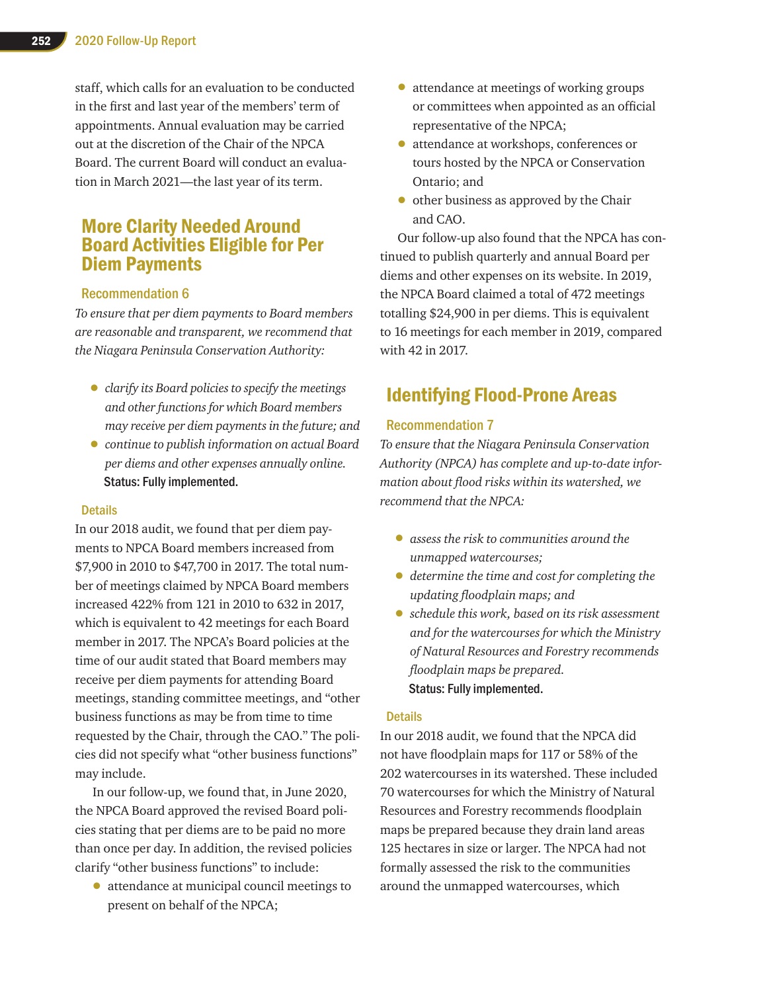staff, which calls for an evaluation to be conducted in the first and last year of the members' term of appointments. Annual evaluation may be carried out at the discretion of the Chair of the NPCA Board. The current Board will conduct an evaluation in March 2021—the last year of its term.

### More Clarity Needed Around Board Activities Eligible for Per Diem Payments

### Recommendation 6

*To ensure that per diem payments to Board members are reasonable and transparent, we recommend that the Niagara Peninsula Conservation Authority:*

- *clarify its Board policies to specify the meetings and other functions for which Board members may receive per diem payments in the future; and*
- *continue to publish information on actual Board per diems and other expenses annually online.* Status: Fully implemented.

### Details

In our 2018 audit, we found that per diem payments to NPCA Board members increased from \$7,900 in 2010 to \$47,700 in 2017. The total number of meetings claimed by NPCA Board members increased 422% from 121 in 2010 to 632 in 2017, which is equivalent to 42 meetings for each Board member in 2017. The NPCA's Board policies at the time of our audit stated that Board members may receive per diem payments for attending Board meetings, standing committee meetings, and "other business functions as may be from time to time requested by the Chair, through the CAO." The policies did not specify what "other business functions" may include.

In our follow-up, we found that, in June 2020, the NPCA Board approved the revised Board policies stating that per diems are to be paid no more than once per day. In addition, the revised policies clarify "other business functions" to include:

• attendance at municipal council meetings to present on behalf of the NPCA;

- attendance at meetings of working groups or committees when appointed as an official representative of the NPCA;
- attendance at workshops, conferences or tours hosted by the NPCA or Conservation Ontario; and
- other business as approved by the Chair and CAO.

Our follow-up also found that the NPCA has continued to publish quarterly and annual Board per diems and other expenses on its website. In 2019, the NPCA Board claimed a total of 472 meetings totalling \$24,900 in per diems. This is equivalent to 16 meetings for each member in 2019, compared with 42 in 2017.

### Identifying Flood-Prone Areas

### Recommendation 7

*To ensure that the Niagara Peninsula Conservation Authority (NPCA) has complete and up-to-date information about flood risks within its watershed, we recommend that the NPCA:*

- *assess the risk to communities around the unmapped watercourses;*
- *determine the time and cost for completing the updating floodplain maps; and*
- *schedule this work, based on its risk assessment and for the watercourses for which the Ministry of Natural Resources and Forestry recommends floodplain maps be prepared.* Status: Fully implemented.

### **Details**

In our 2018 audit, we found that the NPCA did not have floodplain maps for 117 or 58% of the 202 watercourses in its watershed. These included 70 watercourses for which the Ministry of Natural Resources and Forestry recommends floodplain maps be prepared because they drain land areas 125 hectares in size or larger. The NPCA had not formally assessed the risk to the communities around the unmapped watercourses, which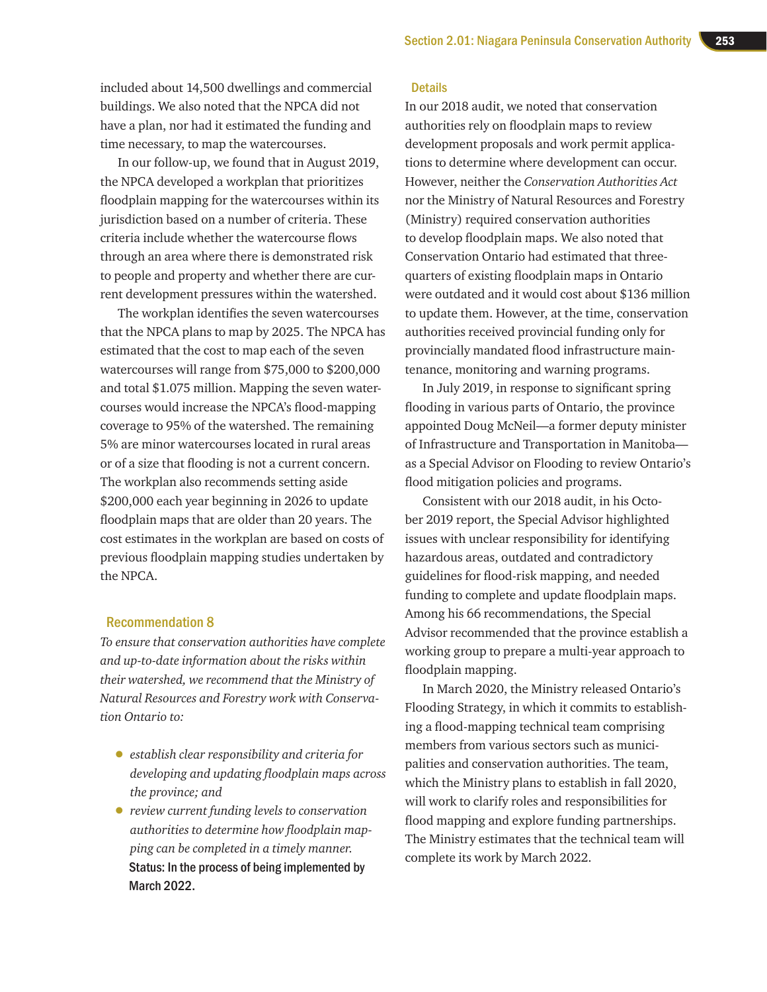included about 14,500 dwellings and commercial buildings. We also noted that the NPCA did not have a plan, nor had it estimated the funding and time necessary, to map the watercourses.

In our follow-up, we found that in August 2019, the NPCA developed a workplan that prioritizes floodplain mapping for the watercourses within its jurisdiction based on a number of criteria. These criteria include whether the watercourse flows through an area where there is demonstrated risk to people and property and whether there are current development pressures within the watershed.

The workplan identifies the seven watercourses that the NPCA plans to map by 2025. The NPCA has estimated that the cost to map each of the seven watercourses will range from \$75,000 to \$200,000 and total \$1.075 million. Mapping the seven watercourses would increase the NPCA's flood-mapping coverage to 95% of the watershed. The remaining 5% are minor watercourses located in rural areas or of a size that flooding is not a current concern. The workplan also recommends setting aside \$200,000 each year beginning in 2026 to update floodplain maps that are older than 20 years. The cost estimates in the workplan are based on costs of previous floodplain mapping studies undertaken by the NPCA.

### Recommendation 8

*To ensure that conservation authorities have complete and up-to-date information about the risks within their watershed, we recommend that the Ministry of Natural Resources and Forestry work with Conservation Ontario to:*

- *establish clear responsibility and criteria for developing and updating floodplain maps across the province; and*
- *review current funding levels to conservation authorities to determine how floodplain mapping can be completed in a timely manner.* Status: In the process of being implemented by March 2022.

### **Details**

In our 2018 audit, we noted that conservation authorities rely on floodplain maps to review development proposals and work permit applications to determine where development can occur. However, neither the *Conservation Authorities Act* nor the Ministry of Natural Resources and Forestry (Ministry) required conservation authorities to develop floodplain maps. We also noted that Conservation Ontario had estimated that threequarters of existing floodplain maps in Ontario were outdated and it would cost about \$136 million to update them. However, at the time, conservation authorities received provincial funding only for provincially mandated flood infrastructure maintenance, monitoring and warning programs.

In July 2019, in response to significant spring flooding in various parts of Ontario, the province appointed Doug McNeil—a former deputy minister of Infrastructure and Transportation in Manitoba as a Special Advisor on Flooding to review Ontario's flood mitigation policies and programs.

Consistent with our 2018 audit, in his October 2019 report, the Special Advisor highlighted issues with unclear responsibility for identifying hazardous areas, outdated and contradictory guidelines for flood-risk mapping, and needed funding to complete and update floodplain maps. Among his 66 recommendations, the Special Advisor recommended that the province establish a working group to prepare a multi-year approach to floodplain mapping.

In March 2020, the Ministry released Ontario's Flooding Strategy, in which it commits to establishing a flood-mapping technical team comprising members from various sectors such as municipalities and conservation authorities. The team, which the Ministry plans to establish in fall 2020, will work to clarify roles and responsibilities for flood mapping and explore funding partnerships. The Ministry estimates that the technical team will complete its work by March 2022.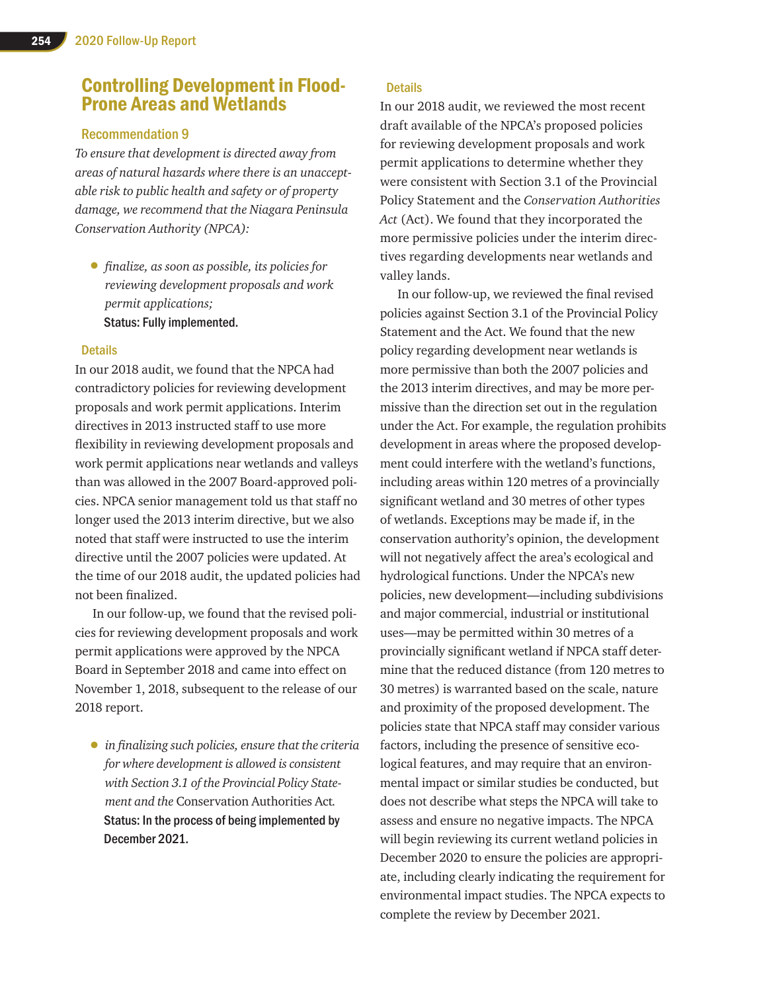### Controlling Development in Flood-Prone Areas and Wetlands

### Recommendation 9

*To ensure that development is directed away from areas of natural hazards where there is an unacceptable risk to public health and safety or of property damage, we recommend that the Niagara Peninsula Conservation Authority (NPCA):*

• *finalize, as soon as possible, its policies for reviewing development proposals and work permit applications;* Status: Fully implemented.

### Details

In our 2018 audit, we found that the NPCA had contradictory policies for reviewing development proposals and work permit applications. Interim directives in 2013 instructed staff to use more flexibility in reviewing development proposals and work permit applications near wetlands and valleys than was allowed in the 2007 Board-approved policies. NPCA senior management told us that staff no longer used the 2013 interim directive, but we also noted that staff were instructed to use the interim directive until the 2007 policies were updated. At the time of our 2018 audit, the updated policies had not been finalized.

In our follow-up, we found that the revised policies for reviewing development proposals and work permit applications were approved by the NPCA Board in September 2018 and came into effect on November 1, 2018, subsequent to the release of our 2018 report.

• *in finalizing such policies, ensure that the criteria for where development is allowed is consistent with Section 3.1 of the Provincial Policy Statement and the* Conservation Authorities Act*.* Status: In the process of being implemented by December 2021.

### **Details**

In our 2018 audit, we reviewed the most recent draft available of the NPCA's proposed policies for reviewing development proposals and work permit applications to determine whether they were consistent with Section 3.1 of the Provincial Policy Statement and the *Conservation Authorities Act* (Act). We found that they incorporated the more permissive policies under the interim directives regarding developments near wetlands and valley lands.

In our follow-up, we reviewed the final revised policies against Section 3.1 of the Provincial Policy Statement and the Act. We found that the new policy regarding development near wetlands is more permissive than both the 2007 policies and the 2013 interim directives, and may be more permissive than the direction set out in the regulation under the Act. For example, the regulation prohibits development in areas where the proposed development could interfere with the wetland's functions, including areas within 120 metres of a provincially significant wetland and 30 metres of other types of wetlands. Exceptions may be made if, in the conservation authority's opinion, the development will not negatively affect the area's ecological and hydrological functions. Under the NPCA's new policies, new development—including subdivisions and major commercial, industrial or institutional uses—may be permitted within 30 metres of a provincially significant wetland if NPCA staff determine that the reduced distance (from 120 metres to 30 metres) is warranted based on the scale, nature and proximity of the proposed development. The policies state that NPCA staff may consider various factors, including the presence of sensitive ecological features, and may require that an environmental impact or similar studies be conducted, but does not describe what steps the NPCA will take to assess and ensure no negative impacts. The NPCA will begin reviewing its current wetland policies in December 2020 to ensure the policies are appropriate, including clearly indicating the requirement for environmental impact studies. The NPCA expects to complete the review by December 2021.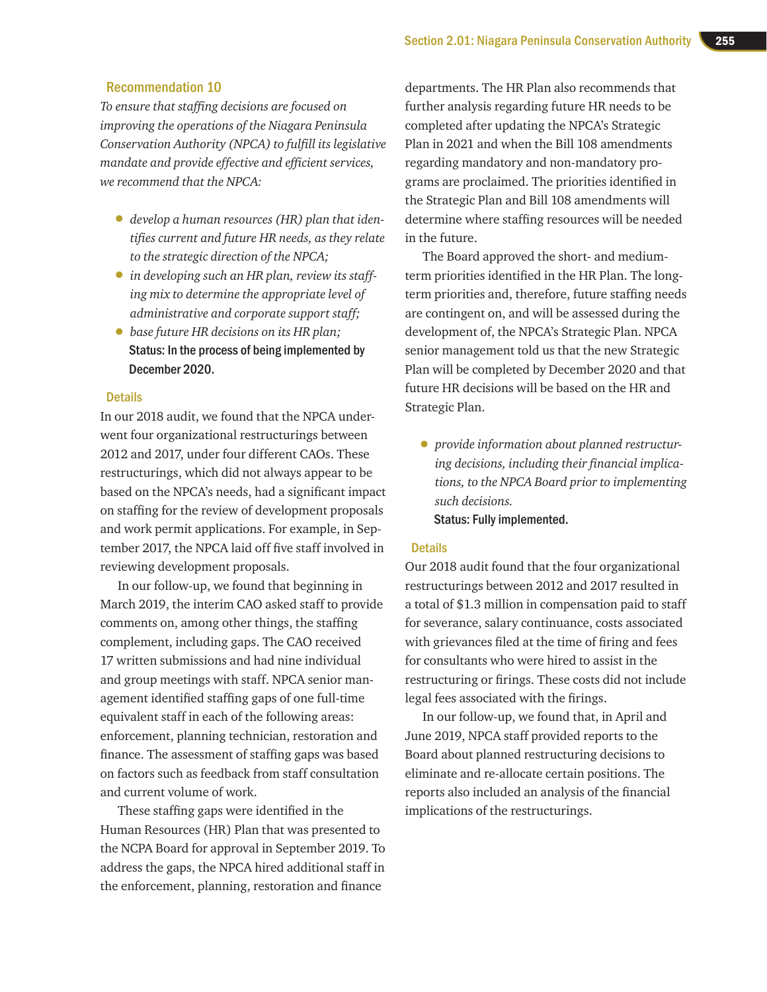### Recommendation 10

*To ensure that staffing decisions are focused on improving the operations of the Niagara Peninsula Conservation Authority (NPCA) to fulfill its legislative mandate and provide effective and efficient services, we recommend that the NPCA:*

- *develop a human resources (HR) plan that identifies current and future HR needs, as they relate to the strategic direction of the NPCA;*
- *in developing such an HR plan, review its staffing mix to determine the appropriate level of administrative and corporate support staff;*
- *base future HR decisions on its HR plan;* Status: In the process of being implemented by December 2020.

#### **Details**

In our 2018 audit, we found that the NPCA underwent four organizational restructurings between 2012 and 2017, under four different CAOs. These restructurings, which did not always appear to be based on the NPCA's needs, had a significant impact on staffing for the review of development proposals and work permit applications. For example, in September 2017, the NPCA laid off five staff involved in reviewing development proposals.

In our follow-up, we found that beginning in March 2019, the interim CAO asked staff to provide comments on, among other things, the staffing complement, including gaps. The CAO received 17 written submissions and had nine individual and group meetings with staff. NPCA senior management identified staffing gaps of one full-time equivalent staff in each of the following areas: enforcement, planning technician, restoration and finance. The assessment of staffing gaps was based on factors such as feedback from staff consultation and current volume of work.

These staffing gaps were identified in the Human Resources (HR) Plan that was presented to the NCPA Board for approval in September 2019. To address the gaps, the NPCA hired additional staff in the enforcement, planning, restoration and finance

departments. The HR Plan also recommends that further analysis regarding future HR needs to be completed after updating the NPCA's Strategic Plan in 2021 and when the Bill 108 amendments regarding mandatory and non-mandatory programs are proclaimed. The priorities identified in the Strategic Plan and Bill 108 amendments will determine where staffing resources will be needed in the future.

The Board approved the short- and mediumterm priorities identified in the HR Plan. The longterm priorities and, therefore, future staffing needs are contingent on, and will be assessed during the development of, the NPCA's Strategic Plan. NPCA senior management told us that the new Strategic Plan will be completed by December 2020 and that future HR decisions will be based on the HR and Strategic Plan.

• *provide information about planned restructuring decisions, including their financial implications, to the NPCA Board prior to implementing such decisions.* Status: Fully implemented.

#### **Details**

Our 2018 audit found that the four organizational restructurings between 2012 and 2017 resulted in a total of \$1.3 million in compensation paid to staff for severance, salary continuance, costs associated with grievances filed at the time of firing and fees for consultants who were hired to assist in the restructuring or firings. These costs did not include legal fees associated with the firings.

In our follow-up, we found that, in April and June 2019, NPCA staff provided reports to the Board about planned restructuring decisions to eliminate and re-allocate certain positions. The reports also included an analysis of the financial implications of the restructurings.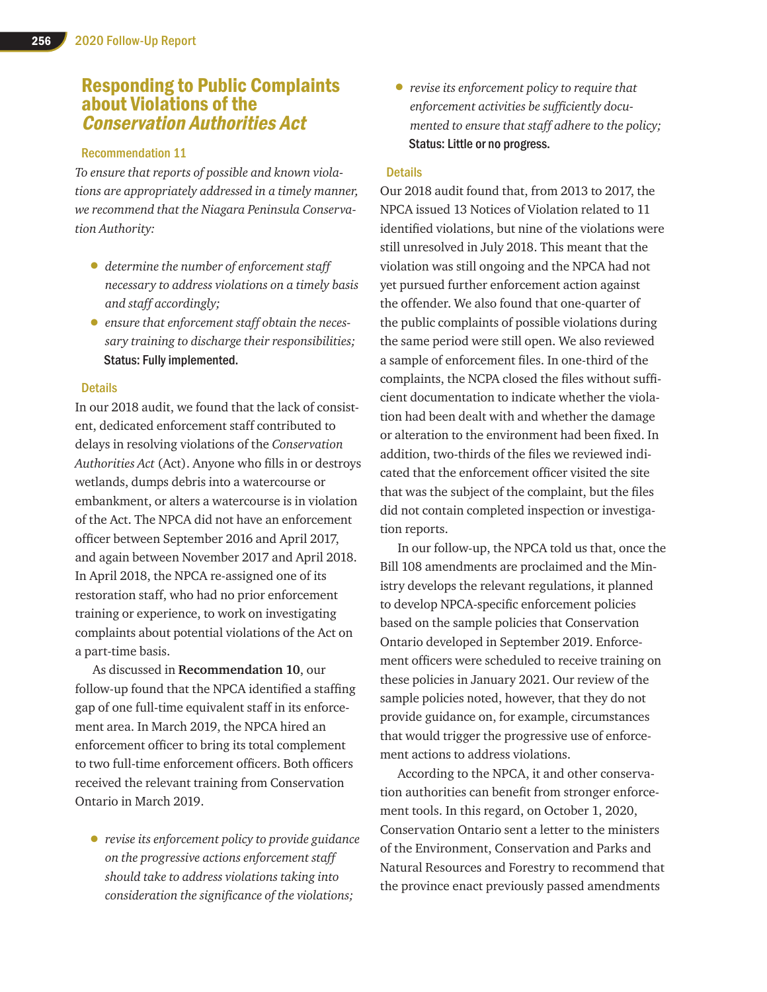### Responding to Public Complaints about Violations of the Conservation Authorities Act

### Recommendation 11

*To ensure that reports of possible and known violations are appropriately addressed in a timely manner, we recommend that the Niagara Peninsula Conservation Authority:*

- *determine the number of enforcement staff necessary to address violations on a timely basis and staff accordingly;*
- *ensure that enforcement staff obtain the necessary training to discharge their responsibilities;* Status: Fully implemented.

### **Details**

In our 2018 audit, we found that the lack of consistent, dedicated enforcement staff contributed to delays in resolving violations of the *Conservation Authorities Act* (Act). Anyone who fills in or destroys wetlands, dumps debris into a watercourse or embankment, or alters a watercourse is in violation of the Act. The NPCA did not have an enforcement officer between September 2016 and April 2017, and again between November 2017 and April 2018. In April 2018, the NPCA re-assigned one of its restoration staff, who had no prior enforcement training or experience, to work on investigating complaints about potential violations of the Act on a part-time basis.

As discussed in **Recommendation 10**, our follow-up found that the NPCA identified a staffing gap of one full-time equivalent staff in its enforcement area. In March 2019, the NPCA hired an enforcement officer to bring its total complement to two full-time enforcement officers. Both officers received the relevant training from Conservation Ontario in March 2019.

• *revise its enforcement policy to provide guidance on the progressive actions enforcement staff should take to address violations taking into consideration the significance of the violations;*

• *revise its enforcement policy to require that enforcement activities be sufficiently documented to ensure that staff adhere to the policy;* Status: Little or no progress.

### **Details**

Our 2018 audit found that, from 2013 to 2017, the NPCA issued 13 Notices of Violation related to 11 identified violations, but nine of the violations were still unresolved in July 2018. This meant that the violation was still ongoing and the NPCA had not yet pursued further enforcement action against the offender. We also found that one-quarter of the public complaints of possible violations during the same period were still open. We also reviewed a sample of enforcement files. In one-third of the complaints, the NCPA closed the files without sufficient documentation to indicate whether the violation had been dealt with and whether the damage or alteration to the environment had been fixed. In addition, two-thirds of the files we reviewed indicated that the enforcement officer visited the site that was the subject of the complaint, but the files did not contain completed inspection or investigation reports.

In our follow-up, the NPCA told us that, once the Bill 108 amendments are proclaimed and the Ministry develops the relevant regulations, it planned to develop NPCA-specific enforcement policies based on the sample policies that Conservation Ontario developed in September 2019. Enforcement officers were scheduled to receive training on these policies in January 2021. Our review of the sample policies noted, however, that they do not provide guidance on, for example, circumstances that would trigger the progressive use of enforcement actions to address violations.

According to the NPCA, it and other conservation authorities can benefit from stronger enforcement tools. In this regard, on October 1, 2020, Conservation Ontario sent a letter to the ministers of the Environment, Conservation and Parks and Natural Resources and Forestry to recommend that the province enact previously passed amendments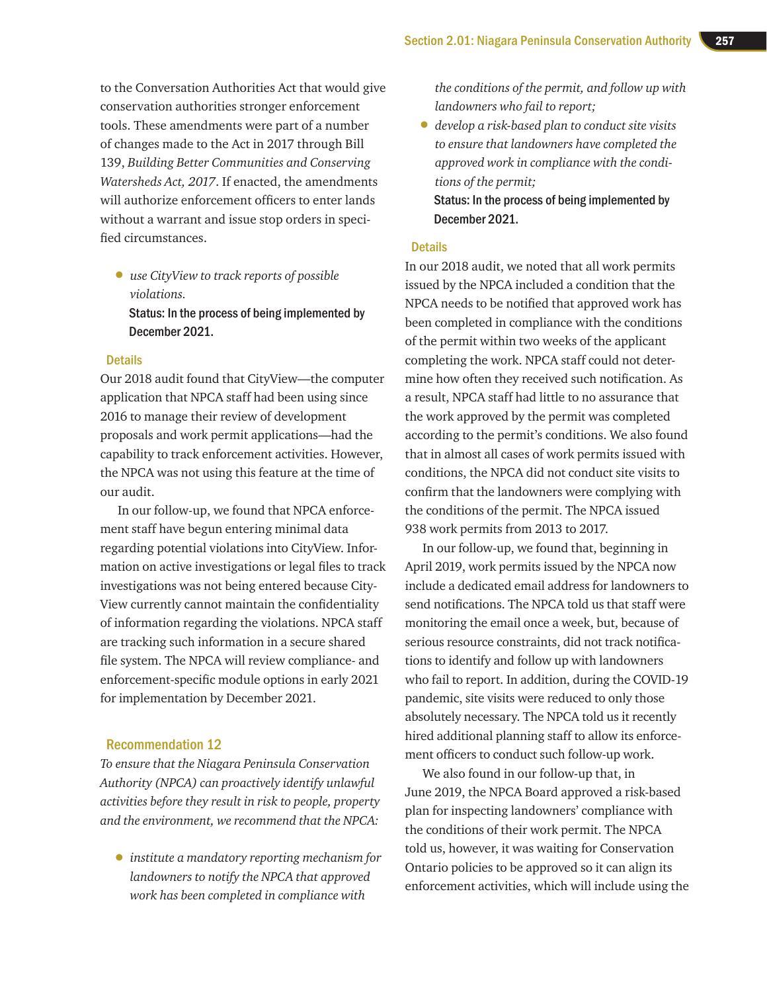to the Conversation Authorities Act that would give conservation authorities stronger enforcement tools. These amendments were part of a number of changes made to the Act in 2017 through Bill 139, *Building Better Communities and Conserving Watersheds Act, 2017*. If enacted, the amendments will authorize enforcement officers to enter lands without a warrant and issue stop orders in specified circumstances.

• *use CityView to track reports of possible violations.* Status: In the process of being implemented by December 2021.

### **Details**

Our 2018 audit found that CityView—the computer application that NPCA staff had been using since 2016 to manage their review of development proposals and work permit applications—had the capability to track enforcement activities. However, the NPCA was not using this feature at the time of our audit.

In our follow-up, we found that NPCA enforcement staff have begun entering minimal data regarding potential violations into CityView. Information on active investigations or legal files to track investigations was not being entered because City-View currently cannot maintain the confidentiality of information regarding the violations. NPCA staff are tracking such information in a secure shared file system. The NPCA will review compliance- and enforcement-specific module options in early 2021 for implementation by December 2021.

### Recommendation 12

*To ensure that the Niagara Peninsula Conservation Authority (NPCA) can proactively identify unlawful activities before they result in risk to people, property and the environment, we recommend that the NPCA:*

• *institute a mandatory reporting mechanism for landowners to notify the NPCA that approved work has been completed in compliance with* 

*the conditions of the permit, and follow up with landowners who fail to report;*

• *develop a risk-based plan to conduct site visits to ensure that landowners have completed the approved work in compliance with the conditions of the permit;*

Status: In the process of being implemented by December 2021.

#### **Details**

In our 2018 audit, we noted that all work permits issued by the NPCA included a condition that the NPCA needs to be notified that approved work has been completed in compliance with the conditions of the permit within two weeks of the applicant completing the work. NPCA staff could not determine how often they received such notification. As a result, NPCA staff had little to no assurance that the work approved by the permit was completed according to the permit's conditions. We also found that in almost all cases of work permits issued with conditions, the NPCA did not conduct site visits to confirm that the landowners were complying with the conditions of the permit. The NPCA issued 938 work permits from 2013 to 2017.

In our follow-up, we found that, beginning in April 2019, work permits issued by the NPCA now include a dedicated email address for landowners to send notifications. The NPCA told us that staff were monitoring the email once a week, but, because of serious resource constraints, did not track notifications to identify and follow up with landowners who fail to report. In addition, during the COVID-19 pandemic, site visits were reduced to only those absolutely necessary. The NPCA told us it recently hired additional planning staff to allow its enforcement officers to conduct such follow-up work.

We also found in our follow-up that, in June 2019, the NPCA Board approved a risk-based plan for inspecting landowners' compliance with the conditions of their work permit. The NPCA told us, however, it was waiting for Conservation Ontario policies to be approved so it can align its enforcement activities, which will include using the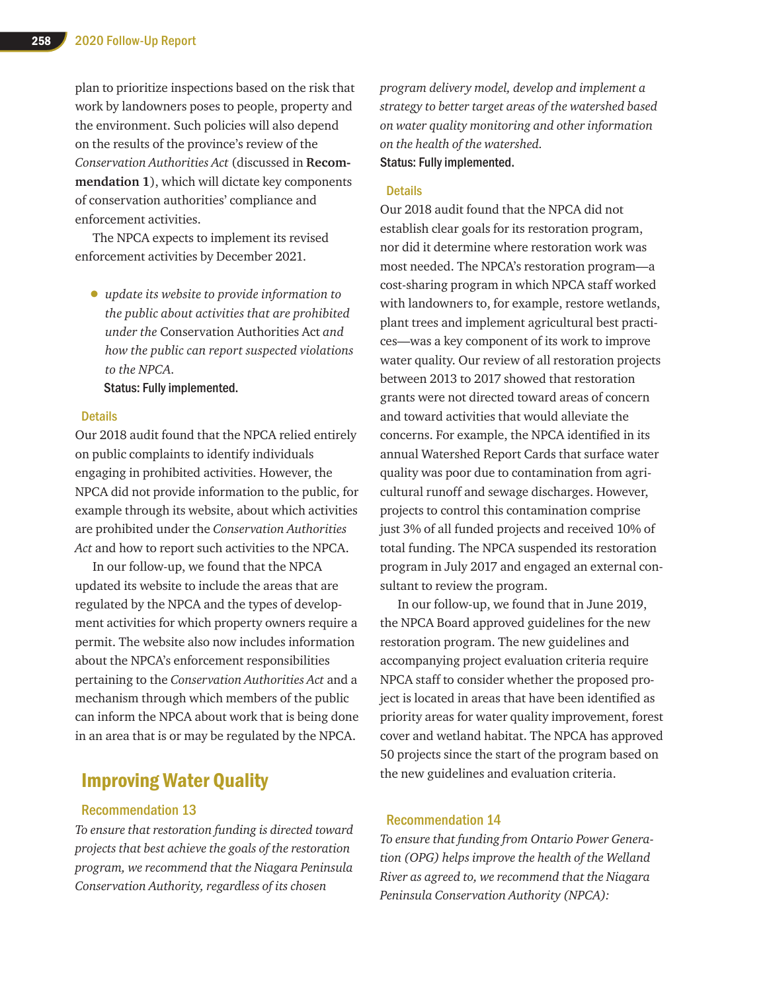plan to prioritize inspections based on the risk that work by landowners poses to people, property and the environment. Such policies will also depend on the results of the province's review of the *Conservation Authorities Act* (discussed in **Recommendation 1**), which will dictate key components of conservation authorities' compliance and enforcement activities.

The NPCA expects to implement its revised enforcement activities by December 2021.

• *update its website to provide information to the public about activities that are prohibited under the* Conservation Authorities Act *and how the public can report suspected violations to the NPCA.*

Status: Fully implemented.

### Details

Our 2018 audit found that the NPCA relied entirely on public complaints to identify individuals engaging in prohibited activities. However, the NPCA did not provide information to the public, for example through its website, about which activities are prohibited under the *Conservation Authorities Act* and how to report such activities to the NPCA.

In our follow-up, we found that the NPCA updated its website to include the areas that are regulated by the NPCA and the types of development activities for which property owners require a permit. The website also now includes information about the NPCA's enforcement responsibilities pertaining to the *Conservation Authorities Act* and a mechanism through which members of the public can inform the NPCA about work that is being done in an area that is or may be regulated by the NPCA.

### Improving Water Quality

#### Recommendation 13

*To ensure that restoration funding is directed toward projects that best achieve the goals of the restoration program, we recommend that the Niagara Peninsula Conservation Authority, regardless of its chosen* 

*program delivery model, develop and implement a strategy to better target areas of the watershed based on water quality monitoring and other information on the health of the watershed.* Status: Fully implemented.

### **Details**

Our 2018 audit found that the NPCA did not establish clear goals for its restoration program, nor did it determine where restoration work was most needed. The NPCA's restoration program—a cost-sharing program in which NPCA staff worked with landowners to, for example, restore wetlands, plant trees and implement agricultural best practices—was a key component of its work to improve water quality. Our review of all restoration projects between 2013 to 2017 showed that restoration grants were not directed toward areas of concern and toward activities that would alleviate the concerns. For example, the NPCA identified in its annual Watershed Report Cards that surface water quality was poor due to contamination from agricultural runoff and sewage discharges. However, projects to control this contamination comprise just 3% of all funded projects and received 10% of total funding. The NPCA suspended its restoration program in July 2017 and engaged an external consultant to review the program.

In our follow-up, we found that in June 2019, the NPCA Board approved guidelines for the new restoration program. The new guidelines and accompanying project evaluation criteria require NPCA staff to consider whether the proposed project is located in areas that have been identified as priority areas for water quality improvement, forest cover and wetland habitat. The NPCA has approved 50 projects since the start of the program based on the new guidelines and evaluation criteria.

### Recommendation 14

*To ensure that funding from Ontario Power Generation (OPG) helps improve the health of the Welland River as agreed to, we recommend that the Niagara Peninsula Conservation Authority (NPCA):*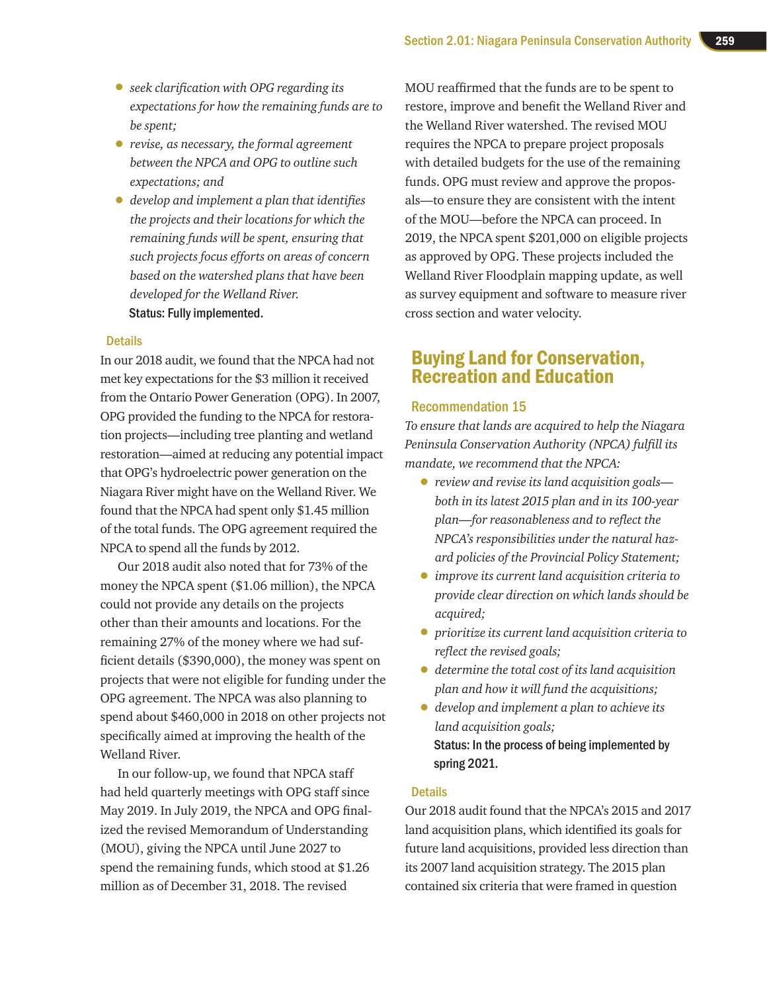- *seek clarification with OPG regarding its expectations for how the remaining funds are to be spent;*
- *revise, as necessary, the formal agreement between the NPCA and OPG to outline such expectations; and*
- *develop and implement a plan that identifies the projects and their locations for which the remaining funds will be spent, ensuring that such projects focus efforts on areas of concern based on the watershed plans that have been developed for the Welland River.*  Status: Fully implemented.

### **Details**

In our 2018 audit, we found that the NPCA had not met key expectations for the \$3 million it received from the Ontario Power Generation (OPG). In 2007, OPG provided the funding to the NPCA for restoration projects—including tree planting and wetland restoration—aimed at reducing any potential impact that OPG's hydroelectric power generation on the Niagara River might have on the Welland River. We found that the NPCA had spent only \$1.45 million of the total funds. The OPG agreement required the NPCA to spend all the funds by 2012.

Our 2018 audit also noted that for 73% of the money the NPCA spent (\$1.06 million), the NPCA could not provide any details on the projects other than their amounts and locations. For the remaining 27% of the money where we had sufficient details (\$390,000), the money was spent on projects that were not eligible for funding under the OPG agreement. The NPCA was also planning to spend about \$460,000 in 2018 on other projects not specifically aimed at improving the health of the Welland River.

In our follow-up, we found that NPCA staff had held quarterly meetings with OPG staff since May 2019. In July 2019, the NPCA and OPG finalized the revised Memorandum of Understanding (MOU), giving the NPCA until June 2027 to spend the remaining funds, which stood at \$1.26 million as of December 31, 2018. The revised

MOU reaffirmed that the funds are to be spent to restore, improve and benefit the Welland River and the Welland River watershed. The revised MOU requires the NPCA to prepare project proposals with detailed budgets for the use of the remaining funds. OPG must review and approve the proposals—to ensure they are consistent with the intent of the MOU—before the NPCA can proceed. In 2019, the NPCA spent \$201,000 on eligible projects as approved by OPG. These projects included the Welland River Floodplain mapping update, as well as survey equipment and software to measure river cross section and water velocity.

### Buying Land for Conservation, Recreation and Education

### Recommendation 15

*To ensure that lands are acquired to help the Niagara Peninsula Conservation Authority (NPCA) fulfill its mandate, we recommend that the NPCA:*

- *review and revise its land acquisition goals both in its latest 2015 plan and in its 100-year plan—for reasonableness and to reflect the NPCA's responsibilities under the natural hazard policies of the Provincial Policy Statement;*
- *improve its current land acquisition criteria to provide clear direction on which lands should be acquired;*
- *prioritize its current land acquisition criteria to reflect the revised goals;*
- *determine the total cost of its land acquisition plan and how it will fund the acquisitions;*
- *develop and implement a plan to achieve its land acquisition goals;*  Status: In the process of being implemented by spring 2021.

### **Details**

Our 2018 audit found that the NPCA's 2015 and 2017 land acquisition plans, which identified its goals for future land acquisitions, provided less direction than its 2007 land acquisition strategy. The 2015 plan contained six criteria that were framed in question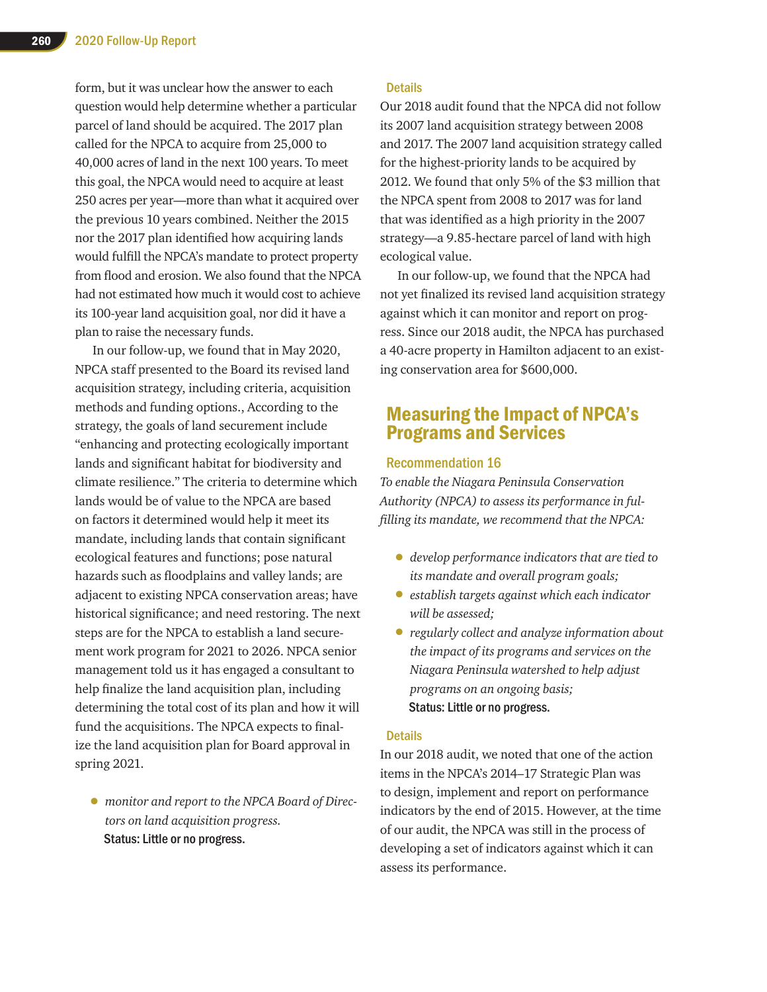form, but it was unclear how the answer to each question would help determine whether a particular parcel of land should be acquired. The 2017 plan called for the NPCA to acquire from 25,000 to 40,000 acres of land in the next 100 years. To meet this goal, the NPCA would need to acquire at least 250 acres per year—more than what it acquired over the previous 10 years combined. Neither the 2015 nor the 2017 plan identified how acquiring lands would fulfill the NPCA's mandate to protect property from flood and erosion. We also found that the NPCA had not estimated how much it would cost to achieve its 100-year land acquisition goal, nor did it have a plan to raise the necessary funds.

In our follow-up, we found that in May 2020, NPCA staff presented to the Board its revised land acquisition strategy, including criteria, acquisition methods and funding options., According to the strategy, the goals of land securement include "enhancing and protecting ecologically important lands and significant habitat for biodiversity and climate resilience." The criteria to determine which lands would be of value to the NPCA are based on factors it determined would help it meet its mandate, including lands that contain significant ecological features and functions; pose natural hazards such as floodplains and valley lands; are adjacent to existing NPCA conservation areas; have historical significance; and need restoring. The next steps are for the NPCA to establish a land securement work program for 2021 to 2026. NPCA senior management told us it has engaged a consultant to help finalize the land acquisition plan, including determining the total cost of its plan and how it will fund the acquisitions. The NPCA expects to finalize the land acquisition plan for Board approval in spring 2021.

• *monitor and report to the NPCA Board of Directors on land acquisition progress.*  Status: Little or no progress.

### **Details**

Our 2018 audit found that the NPCA did not follow its 2007 land acquisition strategy between 2008 and 2017. The 2007 land acquisition strategy called for the highest-priority lands to be acquired by 2012. We found that only 5% of the \$3 million that the NPCA spent from 2008 to 2017 was for land that was identified as a high priority in the 2007 strategy—a 9.85-hectare parcel of land with high ecological value.

In our follow-up, we found that the NPCA had not yet finalized its revised land acquisition strategy against which it can monitor and report on progress. Since our 2018 audit, the NPCA has purchased a 40-acre property in Hamilton adjacent to an existing conservation area for \$600,000.

### Measuring the Impact of NPCA's Programs and Services

### Recommendation 16

*To enable the Niagara Peninsula Conservation Authority (NPCA) to assess its performance in fulfilling its mandate, we recommend that the NPCA:*

- *develop performance indicators that are tied to its mandate and overall program goals;*
- *establish targets against which each indicator will be assessed;*
- *regularly collect and analyze information about the impact of its programs and services on the Niagara Peninsula watershed to help adjust programs on an ongoing basis;*  Status: Little or no progress.

### **Details**

In our 2018 audit, we noted that one of the action items in the NPCA's 2014–17 Strategic Plan was to design, implement and report on performance indicators by the end of 2015. However, at the time of our audit, the NPCA was still in the process of developing a set of indicators against which it can assess its performance.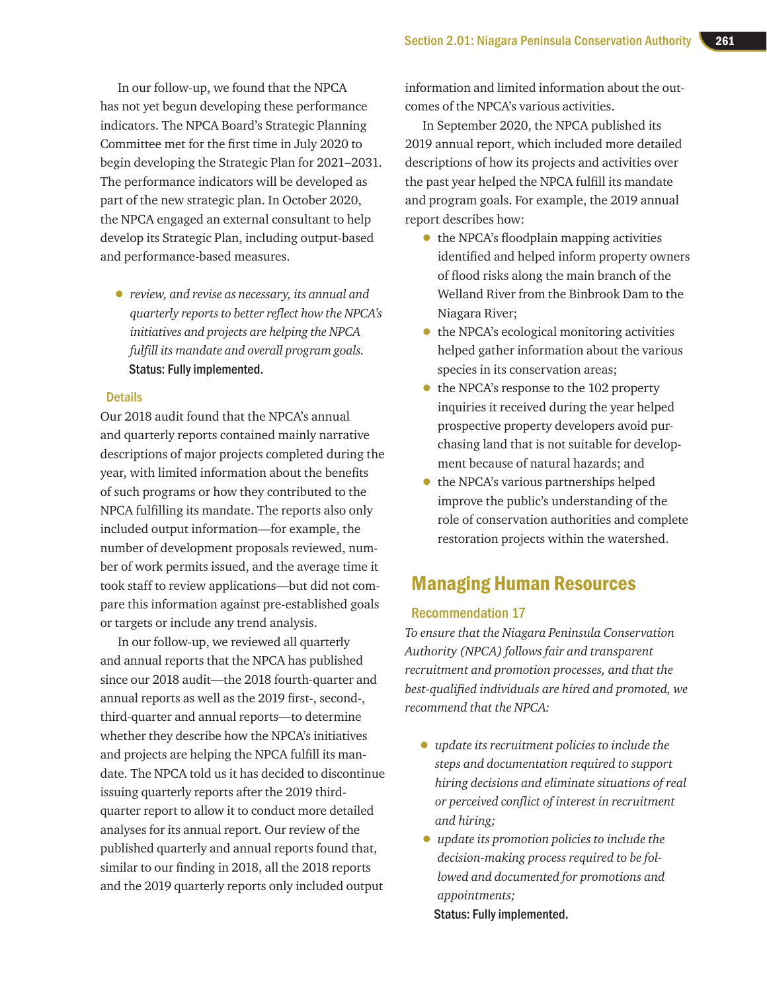In our follow-up, we found that the NPCA has not yet begun developing these performance indicators. The NPCA Board's Strategic Planning Committee met for the first time in July 2020 to begin developing the Strategic Plan for 2021–2031. The performance indicators will be developed as part of the new strategic plan. In October 2020, the NPCA engaged an external consultant to help develop its Strategic Plan, including output-based and performance-based measures.

• *review, and revise as necessary, its annual and quarterly reports to better reflect how the NPCA's initiatives and projects are helping the NPCA fulfill its mandate and overall program goals.*  Status: Fully implemented.

### **Details**

Our 2018 audit found that the NPCA's annual and quarterly reports contained mainly narrative descriptions of major projects completed during the year, with limited information about the benefits of such programs or how they contributed to the NPCA fulfilling its mandate. The reports also only included output information—for example, the number of development proposals reviewed, number of work permits issued, and the average time it took staff to review applications—but did not compare this information against pre-established goals or targets or include any trend analysis.

In our follow-up, we reviewed all quarterly and annual reports that the NPCA has published since our 2018 audit—the 2018 fourth-quarter and annual reports as well as the 2019 first-, second-, third-quarter and annual reports—to determine whether they describe how the NPCA's initiatives and projects are helping the NPCA fulfill its mandate. The NPCA told us it has decided to discontinue issuing quarterly reports after the 2019 thirdquarter report to allow it to conduct more detailed analyses for its annual report. Our review of the published quarterly and annual reports found that, similar to our finding in 2018, all the 2018 reports and the 2019 quarterly reports only included output

information and limited information about the outcomes of the NPCA's various activities.

In September 2020, the NPCA published its 2019 annual report, which included more detailed descriptions of how its projects and activities over the past year helped the NPCA fulfill its mandate and program goals. For example, the 2019 annual report describes how:

- the NPCA's floodplain mapping activities identified and helped inform property owners of flood risks along the main branch of the Welland River from the Binbrook Dam to the Niagara River;
- the NPCA's ecological monitoring activities helped gather information about the various species in its conservation areas;
- the NPCA's response to the 102 property inquiries it received during the year helped prospective property developers avoid purchasing land that is not suitable for development because of natural hazards; and
- the NPCA's various partnerships helped improve the public's understanding of the role of conservation authorities and complete restoration projects within the watershed.

### Managing Human Resources

### Recommendation 17

*To ensure that the Niagara Peninsula Conservation Authority (NPCA) follows fair and transparent recruitment and promotion processes, and that the best-qualified individuals are hired and promoted, we recommend that the NPCA:*

- *update its recruitment policies to include the steps and documentation required to support hiring decisions and eliminate situations of real or perceived conflict of interest in recruitment and hiring;*
- *update its promotion policies to include the decision-making process required to be followed and documented for promotions and appointments;*  Status: Fully implemented.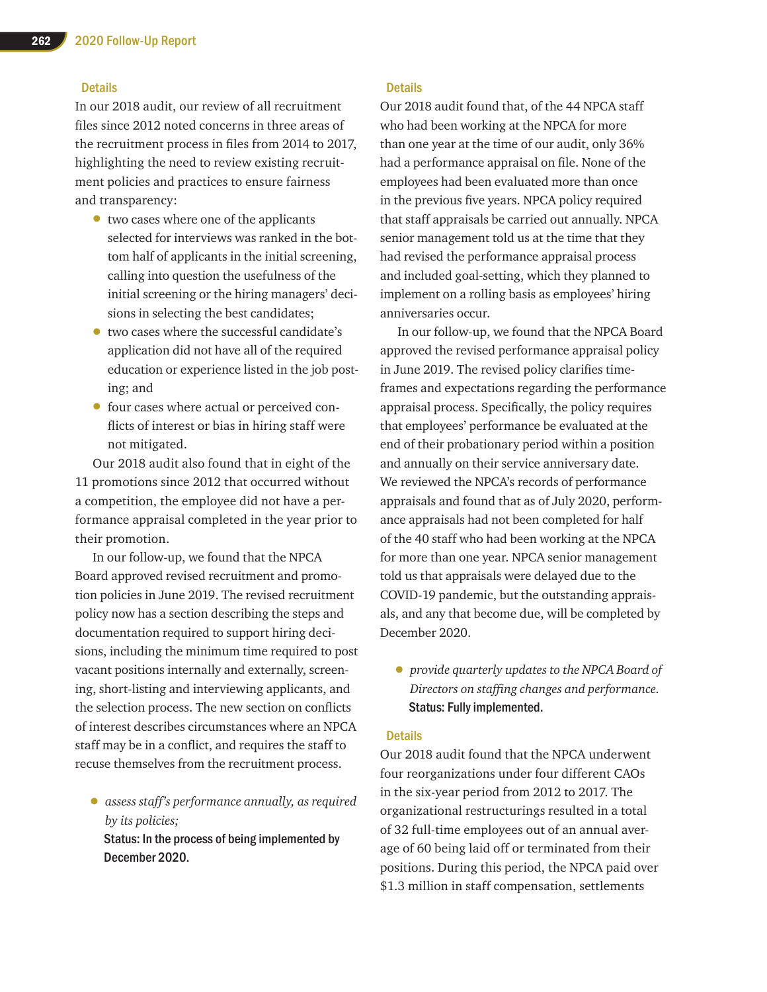### **Details**

In our 2018 audit, our review of all recruitment files since 2012 noted concerns in three areas of the recruitment process in files from 2014 to 2017, highlighting the need to review existing recruitment policies and practices to ensure fairness and transparency:

- two cases where one of the applicants selected for interviews was ranked in the bottom half of applicants in the initial screening, calling into question the usefulness of the initial screening or the hiring managers' decisions in selecting the best candidates;
- two cases where the successful candidate's application did not have all of the required education or experience listed in the job posting; and
- four cases where actual or perceived conflicts of interest or bias in hiring staff were not mitigated.

Our 2018 audit also found that in eight of the 11 promotions since 2012 that occurred without a competition, the employee did not have a performance appraisal completed in the year prior to their promotion.

In our follow-up, we found that the NPCA Board approved revised recruitment and promotion policies in June 2019. The revised recruitment policy now has a section describing the steps and documentation required to support hiring decisions, including the minimum time required to post vacant positions internally and externally, screening, short-listing and interviewing applicants, and the selection process. The new section on conflicts of interest describes circumstances where an NPCA staff may be in a conflict, and requires the staff to recuse themselves from the recruitment process.

• *assess staff's performance annually, as required by its policies;*  Status: In the process of being implemented by December 2020.

### **Details**

Our 2018 audit found that, of the 44 NPCA staff who had been working at the NPCA for more than one year at the time of our audit, only 36% had a performance appraisal on file. None of the employees had been evaluated more than once in the previous five years. NPCA policy required that staff appraisals be carried out annually. NPCA senior management told us at the time that they had revised the performance appraisal process and included goal-setting, which they planned to implement on a rolling basis as employees' hiring anniversaries occur.

In our follow-up, we found that the NPCA Board approved the revised performance appraisal policy in June 2019. The revised policy clarifies timeframes and expectations regarding the performance appraisal process. Specifically, the policy requires that employees' performance be evaluated at the end of their probationary period within a position and annually on their service anniversary date. We reviewed the NPCA's records of performance appraisals and found that as of July 2020, performance appraisals had not been completed for half of the 40 staff who had been working at the NPCA for more than one year. NPCA senior management told us that appraisals were delayed due to the COVID-19 pandemic, but the outstanding appraisals, and any that become due, will be completed by December 2020.

• *provide quarterly updates to the NPCA Board of Directors on staffing changes and performance.*  Status: Fully implemented.

### **Details**

Our 2018 audit found that the NPCA underwent four reorganizations under four different CAOs in the six-year period from 2012 to 2017. The organizational restructurings resulted in a total of 32 full-time employees out of an annual average of 60 being laid off or terminated from their positions. During this period, the NPCA paid over \$1.3 million in staff compensation, settlements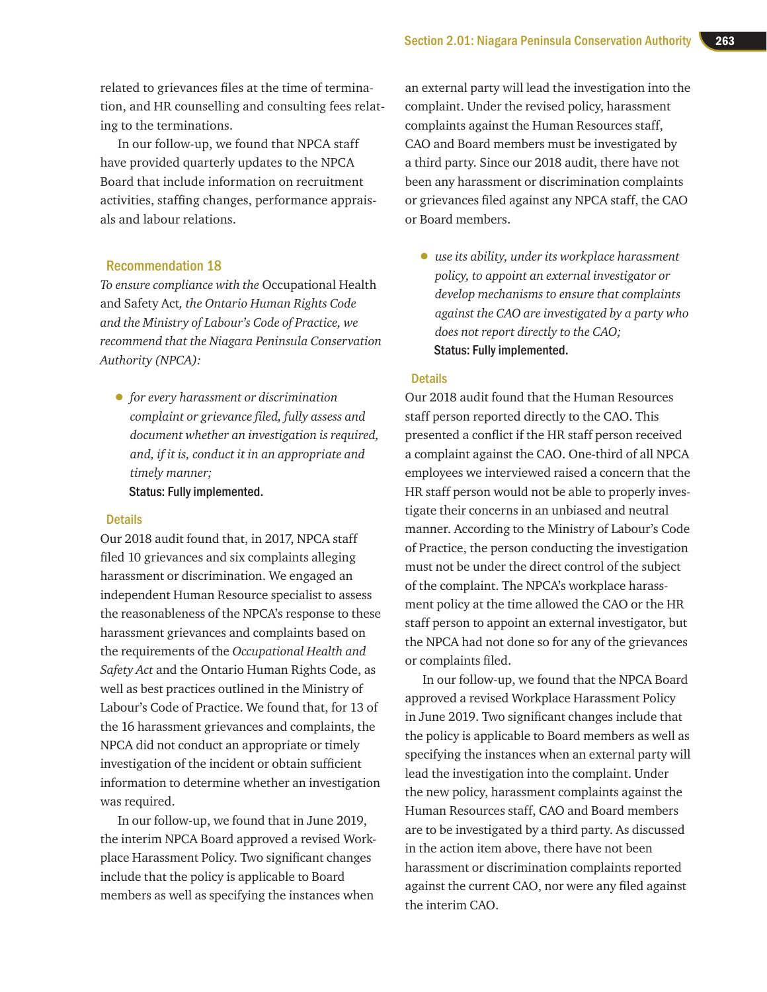related to grievances files at the time of termination, and HR counselling and consulting fees relating to the terminations.

In our follow-up, we found that NPCA staff have provided quarterly updates to the NPCA Board that include information on recruitment activities, staffing changes, performance appraisals and labour relations.

### Recommendation 18

*To ensure compliance with the* Occupational Health and Safety Act*, the Ontario Human Rights Code and the Ministry of Labour's Code of Practice, we recommend that the Niagara Peninsula Conservation Authority (NPCA):*

• *for every harassment or discrimination complaint or grievance filed, fully assess and document whether an investigation is required, and, if it is, conduct it in an appropriate and timely manner;* 

Status: Fully implemented.

### **Details**

Our 2018 audit found that, in 2017, NPCA staff filed 10 grievances and six complaints alleging harassment or discrimination. We engaged an independent Human Resource specialist to assess the reasonableness of the NPCA's response to these harassment grievances and complaints based on the requirements of the *Occupational Health and Safety Act* and the Ontario Human Rights Code, as well as best practices outlined in the Ministry of Labour's Code of Practice. We found that, for 13 of the 16 harassment grievances and complaints, the NPCA did not conduct an appropriate or timely investigation of the incident or obtain sufficient information to determine whether an investigation was required.

In our follow-up, we found that in June 2019, the interim NPCA Board approved a revised Workplace Harassment Policy. Two significant changes include that the policy is applicable to Board members as well as specifying the instances when

an external party will lead the investigation into the complaint. Under the revised policy, harassment complaints against the Human Resources staff, CAO and Board members must be investigated by a third party. Since our 2018 audit, there have not been any harassment or discrimination complaints or grievances filed against any NPCA staff, the CAO or Board members.

• *use its ability, under its workplace harassment policy, to appoint an external investigator or develop mechanisms to ensure that complaints against the CAO are investigated by a party who does not report directly to the CAO;*  Status: Fully implemented.

### **Details**

Our 2018 audit found that the Human Resources staff person reported directly to the CAO. This presented a conflict if the HR staff person received a complaint against the CAO. One-third of all NPCA employees we interviewed raised a concern that the HR staff person would not be able to properly investigate their concerns in an unbiased and neutral manner. According to the Ministry of Labour's Code of Practice, the person conducting the investigation must not be under the direct control of the subject of the complaint. The NPCA's workplace harassment policy at the time allowed the CAO or the HR staff person to appoint an external investigator, but the NPCA had not done so for any of the grievances or complaints filed.

In our follow-up, we found that the NPCA Board approved a revised Workplace Harassment Policy in June 2019. Two significant changes include that the policy is applicable to Board members as well as specifying the instances when an external party will lead the investigation into the complaint. Under the new policy, harassment complaints against the Human Resources staff, CAO and Board members are to be investigated by a third party. As discussed in the action item above, there have not been harassment or discrimination complaints reported against the current CAO, nor were any filed against the interim CAO.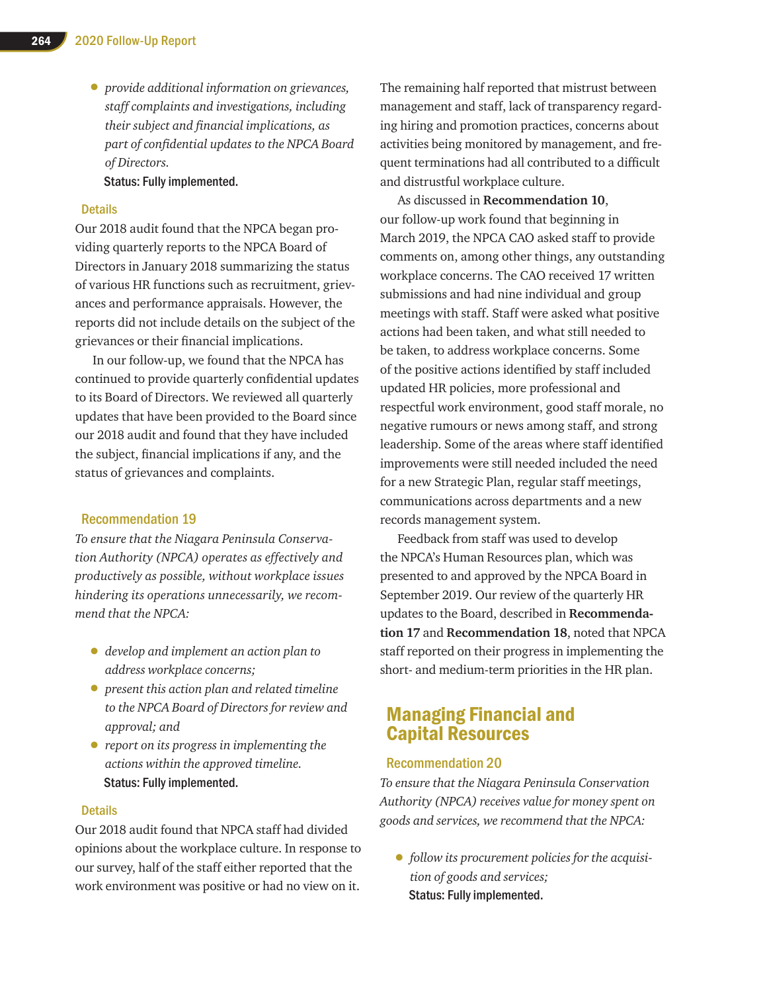• *provide additional information on grievances, staff complaints and investigations, including their subject and financial implications, as part of confidential updates to the NPCA Board of Directors.* 

Status: Fully implemented.

### **Details**

Our 2018 audit found that the NPCA began providing quarterly reports to the NPCA Board of Directors in January 2018 summarizing the status of various HR functions such as recruitment, grievances and performance appraisals. However, the reports did not include details on the subject of the grievances or their financial implications.

In our follow-up, we found that the NPCA has continued to provide quarterly confidential updates to its Board of Directors. We reviewed all quarterly updates that have been provided to the Board since our 2018 audit and found that they have included the subject, financial implications if any, and the status of grievances and complaints.

### Recommendation 19

*To ensure that the Niagara Peninsula Conservation Authority (NPCA) operates as effectively and productively as possible, without workplace issues hindering its operations unnecessarily, we recommend that the NPCA:*

- *develop and implement an action plan to address workplace concerns;*
- *present this action plan and related timeline to the NPCA Board of Directors for review and approval; and*
- *report on its progress in implementing the actions within the approved timeline.* Status: Fully implemented.

### **Details**

Our 2018 audit found that NPCA staff had divided opinions about the workplace culture. In response to our survey, half of the staff either reported that the work environment was positive or had no view on it.

The remaining half reported that mistrust between management and staff, lack of transparency regarding hiring and promotion practices, concerns about activities being monitored by management, and frequent terminations had all contributed to a difficult and distrustful workplace culture.

As discussed in **Recommendation 10**, our follow-up work found that beginning in March 2019, the NPCA CAO asked staff to provide comments on, among other things, any outstanding workplace concerns. The CAO received 17 written submissions and had nine individual and group meetings with staff. Staff were asked what positive actions had been taken, and what still needed to be taken, to address workplace concerns. Some of the positive actions identified by staff included updated HR policies, more professional and respectful work environment, good staff morale, no negative rumours or news among staff, and strong leadership. Some of the areas where staff identified improvements were still needed included the need for a new Strategic Plan, regular staff meetings, communications across departments and a new records management system.

Feedback from staff was used to develop the NPCA's Human Resources plan, which was presented to and approved by the NPCA Board in September 2019. Our review of the quarterly HR updates to the Board, described in **Recommendation 17** and **Recommendation 18**, noted that NPCA staff reported on their progress in implementing the short- and medium-term priorities in the HR plan.

### Managing Financial and Capital Resources

### Recommendation 20

*To ensure that the Niagara Peninsula Conservation Authority (NPCA) receives value for money spent on goods and services, we recommend that the NPCA:*

• *follow its procurement policies for the acquisition of goods and services;*  Status: Fully implemented.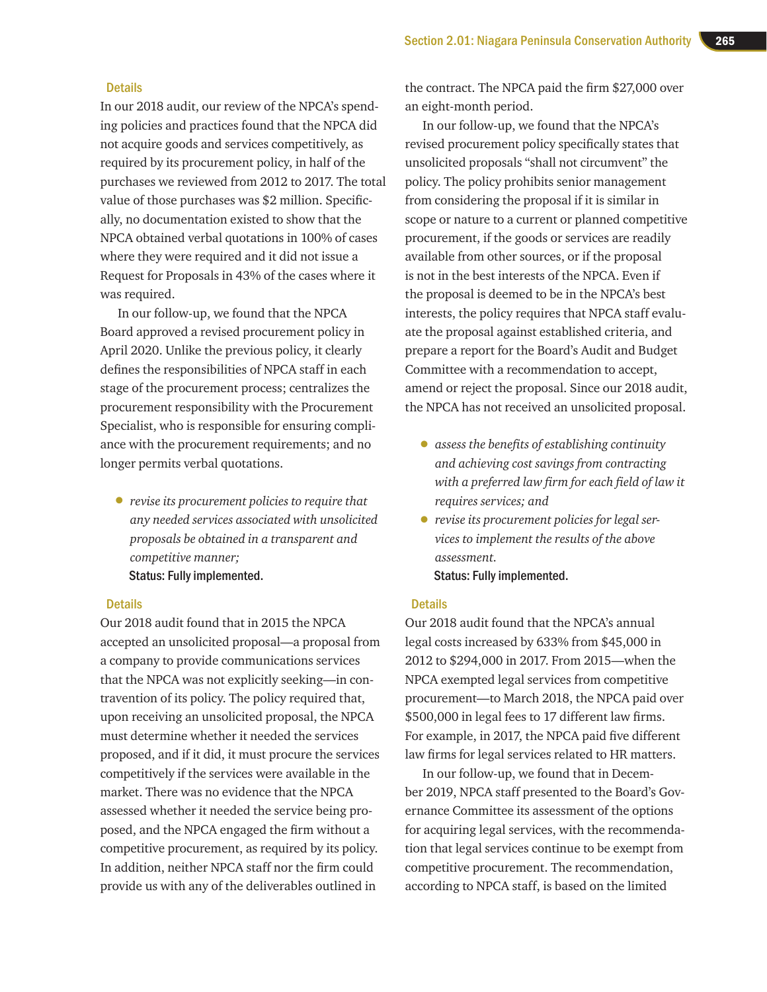#### **Details**

In our 2018 audit, our review of the NPCA's spending policies and practices found that the NPCA did not acquire goods and services competitively, as required by its procurement policy, in half of the purchases we reviewed from 2012 to 2017. The total value of those purchases was \$2 million. Specifically, no documentation existed to show that the NPCA obtained verbal quotations in 100% of cases where they were required and it did not issue a Request for Proposals in 43% of the cases where it was required.

In our follow-up, we found that the NPCA Board approved a revised procurement policy in April 2020. Unlike the previous policy, it clearly defines the responsibilities of NPCA staff in each stage of the procurement process; centralizes the procurement responsibility with the Procurement Specialist, who is responsible for ensuring compliance with the procurement requirements; and no longer permits verbal quotations.

• *revise its procurement policies to require that any needed services associated with unsolicited proposals be obtained in a transparent and competitive manner;*  Status: Fully implemented.

#### **Details**

Our 2018 audit found that in 2015 the NPCA accepted an unsolicited proposal—a proposal from a company to provide communications services that the NPCA was not explicitly seeking—in contravention of its policy. The policy required that, upon receiving an unsolicited proposal, the NPCA must determine whether it needed the services proposed, and if it did, it must procure the services competitively if the services were available in the market. There was no evidence that the NPCA assessed whether it needed the service being proposed, and the NPCA engaged the firm without a competitive procurement, as required by its policy. In addition, neither NPCA staff nor the firm could provide us with any of the deliverables outlined in

the contract. The NPCA paid the firm \$27,000 over an eight-month period.

In our follow-up, we found that the NPCA's revised procurement policy specifically states that unsolicited proposals "shall not circumvent" the policy. The policy prohibits senior management from considering the proposal if it is similar in scope or nature to a current or planned competitive procurement, if the goods or services are readily available from other sources, or if the proposal is not in the best interests of the NPCA. Even if the proposal is deemed to be in the NPCA's best interests, the policy requires that NPCA staff evaluate the proposal against established criteria, and prepare a report for the Board's Audit and Budget Committee with a recommendation to accept, amend or reject the proposal. Since our 2018 audit, the NPCA has not received an unsolicited proposal.

- *assess the benefits of establishing continuity and achieving cost savings from contracting with a preferred law firm for each field of law it requires services; and*
- *revise its procurement policies for legal services to implement the results of the above assessment.* Status: Fully implemented.

#### **Details**

Our 2018 audit found that the NPCA's annual legal costs increased by 633% from \$45,000 in 2012 to \$294,000 in 2017. From 2015—when the NPCA exempted legal services from competitive procurement—to March 2018, the NPCA paid over \$500,000 in legal fees to 17 different law firms. For example, in 2017, the NPCA paid five different law firms for legal services related to HR matters.

In our follow-up, we found that in December 2019, NPCA staff presented to the Board's Governance Committee its assessment of the options for acquiring legal services, with the recommendation that legal services continue to be exempt from competitive procurement. The recommendation, according to NPCA staff, is based on the limited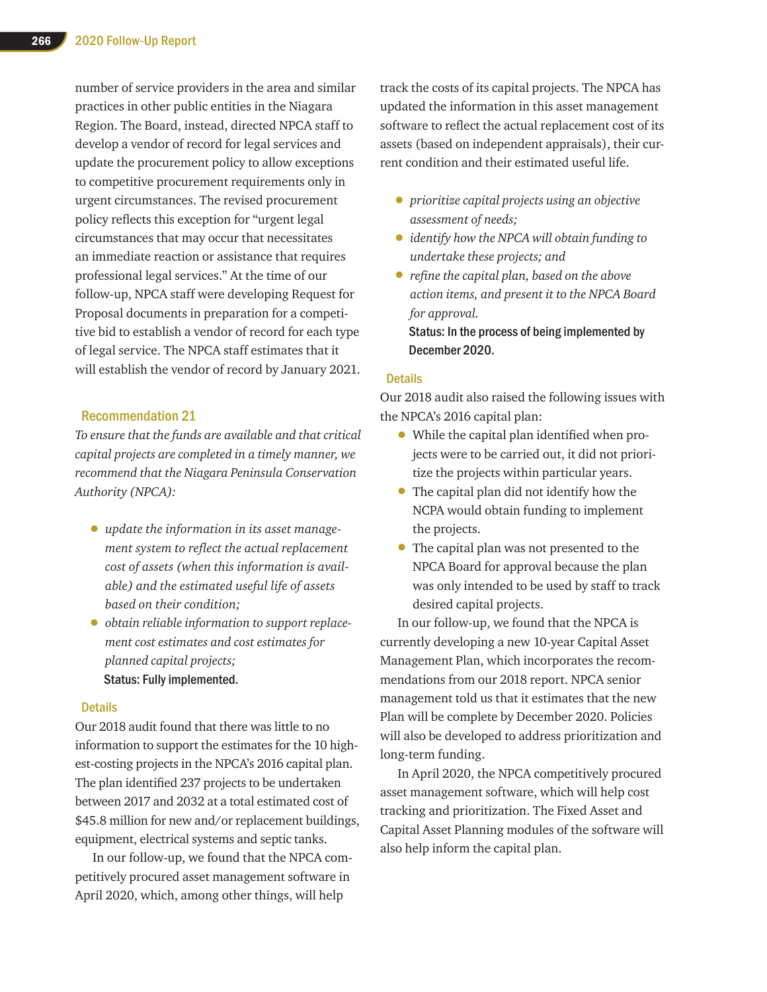number of service providers in the area and similar practices in other public entities in the Niagara Region. The Board, instead, directed NPCA staff to develop a vendor of record for legal services and update the procurement policy to allow exceptions to competitive procurement requirements only in urgent circumstances. The revised procurement policy reflects this exception for "urgent legal circumstances that may occur that necessitates an immediate reaction or assistance that requires professional legal services." At the time of our follow-up, NPCA staff were developing Request for Proposal documents in preparation for a competitive bid to establish a vendor of record for each type of legal service. The NPCA staff estimates that it will establish the vendor of record by January 2021.

### Recommendation 21

*To ensure that the funds are available and that critical capital projects are completed in a timely manner, we recommend that the Niagara Peninsula Conservation Authority (NPCA):*

- *update the information in its asset management system to reflect the actual replacement cost of assets (when this information is available) and the estimated useful life of assets based on their condition;*
- *obtain reliable information to support replacement cost estimates and cost estimates for planned capital projects;* Status: Fully implemented.

### **Details**

Our 2018 audit found that there was little to no information to support the estimates for the 10 highest-costing projects in the NPCA's 2016 capital plan. The plan identified 237 projects to be undertaken between 2017 and 2032 at a total estimated cost of \$45.8 million for new and/or replacement buildings, equipment, electrical systems and septic tanks.

In our follow-up, we found that the NPCA competitively procured asset management software in April 2020, which, among other things, will help

track the costs of its capital projects. The NPCA has updated the information in this asset management software to reflect the actual replacement cost of its assets (based on independent appraisals), their current condition and their estimated useful life.

- *prioritize capital projects using an objective assessment of needs;*
- *identify how the NPCA will obtain funding to undertake these projects; and*
- *refine the capital plan, based on the above action items, and present it to the NPCA Board for approval.*  Status: In the process of being implemented by

### **Details**

December 2020.

Our 2018 audit also raised the following issues with the NPCA's 2016 capital plan:

- While the capital plan identified when projects were to be carried out, it did not prioritize the projects within particular years.
- The capital plan did not identify how the NCPA would obtain funding to implement the projects.
- The capital plan was not presented to the NPCA Board for approval because the plan was only intended to be used by staff to track desired capital projects.

In our follow-up, we found that the NPCA is currently developing a new 10-year Capital Asset Management Plan, which incorporates the recommendations from our 2018 report. NPCA senior management told us that it estimates that the new Plan will be complete by December 2020. Policies will also be developed to address prioritization and long-term funding.

In April 2020, the NPCA competitively procured asset management software, which will help cost tracking and prioritization. The Fixed Asset and Capital Asset Planning modules of the software will also help inform the capital plan.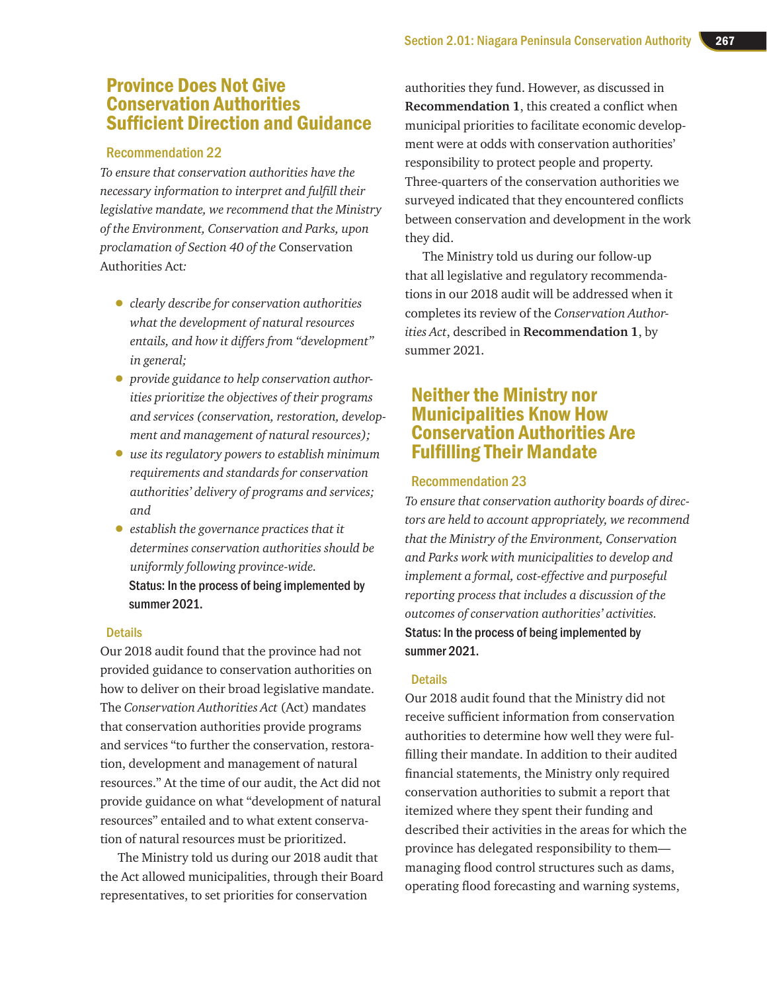### Province Does Not Give Conservation Authorities Sufficient Direction and Guidance

### Recommendation 22

*To ensure that conservation authorities have the necessary information to interpret and fulfill their legislative mandate, we recommend that the Ministry of the Environment, Conservation and Parks, upon proclamation of Section 40 of the* Conservation Authorities Act*:*

- *clearly describe for conservation authorities what the development of natural resources entails, and how it differs from "development" in general;*
- *provide guidance to help conservation authorities prioritize the objectives of their programs and services (conservation, restoration, development and management of natural resources);*
- *use its regulatory powers to establish minimum requirements and standards for conservation authorities' delivery of programs and services; and*
- *establish the governance practices that it determines conservation authorities should be uniformly following province-wide.*  Status: In the process of being implemented by summer 2021.

### **Details**

Our 2018 audit found that the province had not provided guidance to conservation authorities on how to deliver on their broad legislative mandate. The *Conservation Authorities Act* (Act) mandates that conservation authorities provide programs and services "to further the conservation, restoration, development and management of natural resources." At the time of our audit, the Act did not provide guidance on what "development of natural resources" entailed and to what extent conservation of natural resources must be prioritized.

The Ministry told us during our 2018 audit that the Act allowed municipalities, through their Board representatives, to set priorities for conservation

authorities they fund. However, as discussed in **Recommendation 1**, this created a conflict when municipal priorities to facilitate economic development were at odds with conservation authorities' responsibility to protect people and property. Three-quarters of the conservation authorities we surveyed indicated that they encountered conflicts between conservation and development in the work they did.

The Ministry told us during our follow-up that all legislative and regulatory recommendations in our 2018 audit will be addressed when it completes its review of the *Conservation Authorities Act*, described in **Recommendation 1**, by summer 2021.

### Neither the Ministry nor Municipalities Know How Conservation Authorities Are Fulfilling Their Mandate

### Recommendation 23

*To ensure that conservation authority boards of directors are held to account appropriately, we recommend that the Ministry of the Environment, Conservation and Parks work with municipalities to develop and implement a formal, cost-effective and purposeful reporting process that includes a discussion of the outcomes of conservation authorities' activities.* Status: In the process of being implemented by summer 2021.

### **Details**

Our 2018 audit found that the Ministry did not receive sufficient information from conservation authorities to determine how well they were fulfilling their mandate. In addition to their audited financial statements, the Ministry only required conservation authorities to submit a report that itemized where they spent their funding and described their activities in the areas for which the province has delegated responsibility to them managing flood control structures such as dams, operating flood forecasting and warning systems,